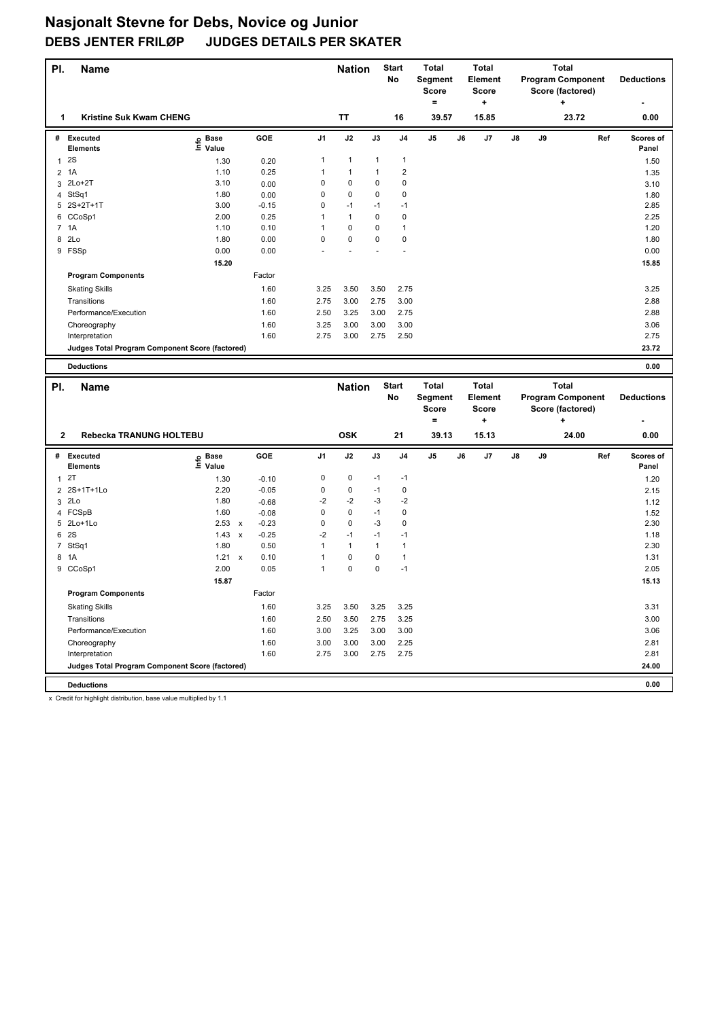| PI.            | <b>Name</b>                                     |                                   |         |                | <b>Nation</b> |              | <b>Start</b><br>No | <b>Total</b><br>Segment<br><b>Score</b><br>$=$ |    | <b>Total</b><br>Element<br><b>Score</b><br>+ |    |    | <b>Total</b><br><b>Program Component</b><br>Score (factored)<br>٠ |     | <b>Deductions</b>  |
|----------------|-------------------------------------------------|-----------------------------------|---------|----------------|---------------|--------------|--------------------|------------------------------------------------|----|----------------------------------------------|----|----|-------------------------------------------------------------------|-----|--------------------|
| 1              | <b>Kristine Suk Kwam CHENG</b>                  |                                   |         |                | TT            |              | 16                 | 39.57                                          |    | 15.85                                        |    |    | 23.72                                                             |     | 0.00               |
|                | # Executed<br><b>Elements</b>                   | e Base<br>⊆ Value                 | GOE     | J <sub>1</sub> | J2            | J3           | J <sub>4</sub>     | J5                                             | J6 | J7                                           | J8 | J9 |                                                                   | Ref | Scores of<br>Panel |
| $\mathbf{1}$   | 2S                                              | 1.30                              | 0.20    | 1              | $\mathbf{1}$  | 1            | $\mathbf{1}$       |                                                |    |                                              |    |    |                                                                   |     | 1.50               |
| 2              | 1A                                              | 1.10                              | 0.25    | 1              | 1             | 1            | $\mathbf 2$        |                                                |    |                                              |    |    |                                                                   |     | 1.35               |
|                | 3 2Lo+2T                                        | 3.10                              | 0.00    | 0              | 0             | 0            | $\mathbf 0$        |                                                |    |                                              |    |    |                                                                   |     | 3.10               |
| 4              | StSq1                                           | 1.80                              | 0.00    | 0              | 0             | 0            | 0                  |                                                |    |                                              |    |    |                                                                   |     | 1.80               |
|                | 5 2S+2T+1T                                      | 3.00                              | $-0.15$ | 0              | $-1$          | $-1$         | -1                 |                                                |    |                                              |    |    |                                                                   |     | 2.85               |
|                | 6 CCoSp1                                        | 2.00                              | 0.25    | 1              | $\mathbf{1}$  | 0            | $\mathbf 0$        |                                                |    |                                              |    |    |                                                                   |     | 2.25               |
|                | 7 1A                                            | 1.10                              | 0.10    | 1              | 0             | 0            | $\mathbf{1}$       |                                                |    |                                              |    |    |                                                                   |     | 1.20               |
| 8              | 2Lo                                             | 1.80                              | 0.00    | 0              | 0             | 0            | 0                  |                                                |    |                                              |    |    |                                                                   |     | 1.80               |
|                | 9 FSSp                                          | 0.00                              | 0.00    |                |               |              |                    |                                                |    |                                              |    |    |                                                                   |     | 0.00               |
|                |                                                 | 15.20                             |         |                |               |              |                    |                                                |    |                                              |    |    |                                                                   |     | 15.85              |
|                | <b>Program Components</b>                       |                                   | Factor  |                |               |              |                    |                                                |    |                                              |    |    |                                                                   |     |                    |
|                | <b>Skating Skills</b>                           |                                   | 1.60    | 3.25           | 3.50          | 3.50         | 2.75               |                                                |    |                                              |    |    |                                                                   |     | 3.25               |
|                | Transitions                                     |                                   | 1.60    | 2.75           | 3.00          | 2.75         | 3.00               |                                                |    |                                              |    |    |                                                                   |     | 2.88               |
|                | Performance/Execution                           |                                   | 1.60    | 2.50           | 3.25          | 3.00         | 2.75               |                                                |    |                                              |    |    |                                                                   |     | 2.88               |
|                | Choreography                                    |                                   | 1.60    | 3.25           | 3.00          | 3.00         | 3.00               |                                                |    |                                              |    |    |                                                                   |     | 3.06               |
|                | Interpretation                                  |                                   | 1.60    | 2.75           | 3.00          | 2.75         | 2.50               |                                                |    |                                              |    |    |                                                                   |     | 2.75               |
|                | Judges Total Program Component Score (factored) |                                   |         |                |               |              |                    |                                                |    |                                              |    |    |                                                                   |     | 23.72              |
|                | <b>Deductions</b>                               |                                   |         |                |               |              |                    |                                                |    |                                              |    |    |                                                                   |     | 0.00               |
| PI.            |                                                 |                                   |         |                |               |              |                    |                                                |    |                                              |    |    |                                                                   |     |                    |
|                |                                                 |                                   |         |                |               |              |                    |                                                |    |                                              |    |    |                                                                   |     |                    |
|                | Name                                            |                                   |         |                | <b>Nation</b> |              | <b>Start</b>       | <b>Total</b>                                   |    | Total                                        |    |    | Total                                                             |     |                    |
|                |                                                 |                                   |         |                |               |              | No                 | Segment                                        |    | <b>Element</b>                               |    |    | <b>Program Component</b>                                          |     | <b>Deductions</b>  |
|                |                                                 |                                   |         |                |               |              |                    | <b>Score</b><br>$\equiv$                       |    | <b>Score</b><br>÷                            |    |    | Score (factored)<br>٠                                             |     |                    |
| 2              | Rebecka TRANUNG HOLTEBU                         |                                   |         |                | <b>OSK</b>    |              | 21                 | 39.13                                          |    | 15.13                                        |    |    | 24.00                                                             |     | 0.00               |
|                |                                                 |                                   |         |                |               |              |                    |                                                |    |                                              |    |    |                                                                   |     |                    |
| #              | <b>Executed</b><br>Elements                     | e Base<br>⊑ Value                 | GOE     | J <sub>1</sub> | J2            | J3           | J <sub>4</sub>     | J5                                             | J6 | J7                                           | J8 | J9 |                                                                   | Ref | Scores of<br>Panel |
| $\mathbf{1}$   | 2T                                              | 1.30                              | $-0.10$ | 0              | 0             | $-1$         | $-1$               |                                                |    |                                              |    |    |                                                                   |     | 1.20               |
| $\overline{2}$ | 2S+1T+1Lo                                       | 2.20                              | $-0.05$ | 0              | 0             | $-1$         | 0                  |                                                |    |                                              |    |    |                                                                   |     | 2.15               |
|                | 3 2Lo                                           | 1.80                              | $-0.68$ | $-2$           | $-2$          | -3           | $-2$               |                                                |    |                                              |    |    |                                                                   |     | 1.12               |
| 4              | FCSpB                                           | 1.60                              | $-0.08$ | 0              | 0             | $-1$         | 0                  |                                                |    |                                              |    |    |                                                                   |     | 1.52               |
|                | 5 2Lo+1Lo                                       | 2.53<br>$\mathbf{x}$              | $-0.23$ | 0              | 0             | -3           | 0                  |                                                |    |                                              |    |    |                                                                   |     | 2.30               |
| 6              | 2S                                              | 1.43<br>$\pmb{\mathsf{x}}$        | $-0.25$ | $-2$           | $-1$          | $-1$         | $-1$               |                                                |    |                                              |    |    |                                                                   |     | 1.18               |
|                | 7 StSq1                                         | 1.80                              | 0.50    | $\mathbf{1}$   | $\mathbf{1}$  | $\mathbf{1}$ | $\mathbf{1}$       |                                                |    |                                              |    |    |                                                                   |     | 2.30               |
|                | 8 1A                                            | 1.21<br>$\boldsymbol{\mathsf{x}}$ | 0.10    | $\mathbf{1}$   | 0             | 0            | $\mathbf{1}$       |                                                |    |                                              |    |    |                                                                   |     | 1.31               |
|                | 9 CCoSp1                                        | 2.00                              | 0.05    | 1              | 0             | 0            | $-1$               |                                                |    |                                              |    |    |                                                                   |     | 2.05               |
|                |                                                 | 15.87                             |         |                |               |              |                    |                                                |    |                                              |    |    |                                                                   |     | 15.13              |
|                | <b>Program Components</b>                       |                                   | Factor  |                |               |              |                    |                                                |    |                                              |    |    |                                                                   |     |                    |
|                | <b>Skating Skills</b>                           |                                   | 1.60    | 3.25           | 3.50          | 3.25         | 3.25               |                                                |    |                                              |    |    |                                                                   |     | 3.31               |
|                | Transitions                                     |                                   | 1.60    | 2.50           | 3.50          | 2.75         | 3.25               |                                                |    |                                              |    |    |                                                                   |     | 3.00               |
|                | Performance/Execution                           |                                   | 1.60    | 3.00           | 3.25          | 3.00         | 3.00               |                                                |    |                                              |    |    |                                                                   |     | 3.06               |
|                | Choreography                                    |                                   | 1.60    | 3.00           | 3.00          | 3.00         | 2.25               |                                                |    |                                              |    |    |                                                                   |     | 2.81               |
|                | Interpretation                                  |                                   | 1.60    | 2.75           | 3.00          | 2.75         | 2.75               |                                                |    |                                              |    |    |                                                                   |     | 2.81               |
|                | Judges Total Program Component Score (factored) |                                   |         |                |               |              |                    |                                                |    |                                              |    |    |                                                                   |     | 24.00              |

x Credit for highlight distribution, base value multiplied by 1.1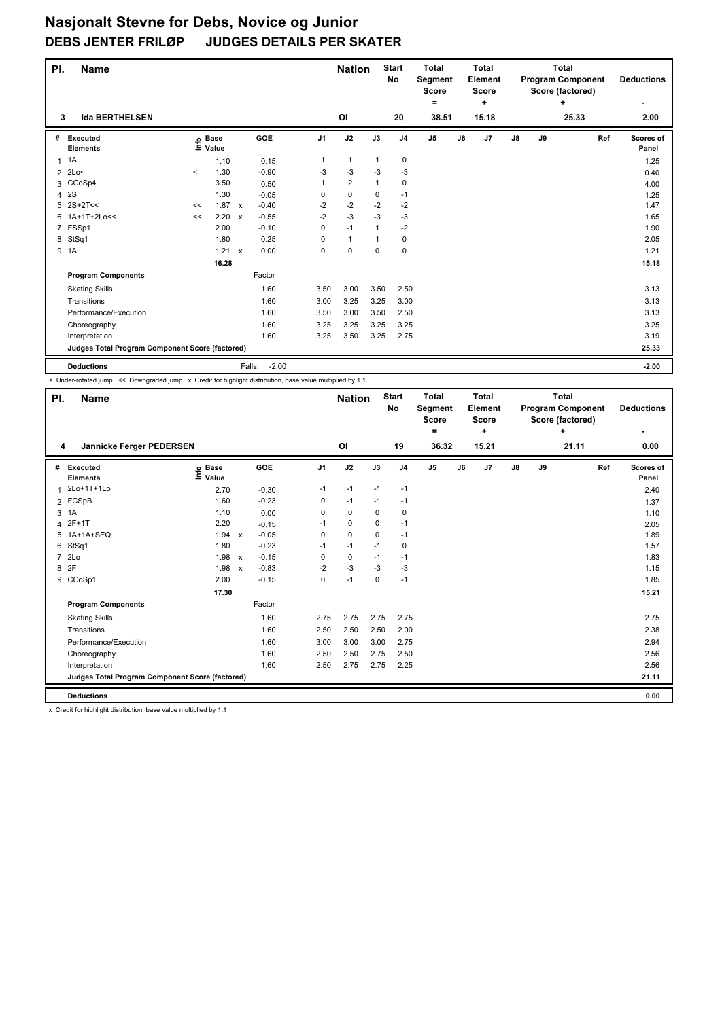| PI. | <b>Name</b>                                     |          |                            |                           |                   |                | <b>Nation</b>  |              | <b>Start</b><br>No | <b>Total</b><br>Segment<br><b>Score</b><br>$=$ |    | <b>Total</b><br>Element<br><b>Score</b><br>÷ |               |    | <b>Total</b><br><b>Program Component</b><br>Score (factored)<br>٠ | <b>Deductions</b>  |
|-----|-------------------------------------------------|----------|----------------------------|---------------------------|-------------------|----------------|----------------|--------------|--------------------|------------------------------------------------|----|----------------------------------------------|---------------|----|-------------------------------------------------------------------|--------------------|
| 3   | <b>Ida BERTHELSEN</b>                           |          |                            |                           |                   |                | OI             |              | 20                 | 38.51                                          |    | 15.18                                        |               |    | 25.33                                                             | 2.00               |
| #   | Executed<br><b>Elements</b>                     |          | e Base<br>E Value<br>Value |                           | GOE               | J <sub>1</sub> | J2             | J3           | J <sub>4</sub>     | J <sub>5</sub>                                 | J6 | J7                                           | $\mathsf{J}8$ | J9 | Ref                                                               | Scores of<br>Panel |
| 1   | 1A                                              |          | 1.10                       |                           | 0.15              |                | $\mathbf{1}$   | 1            | 0                  |                                                |    |                                              |               |    |                                                                   | 1.25               |
|     | 2 2Lo<                                          | $\hat{}$ | 1.30                       |                           | $-0.90$           | -3             | -3             | -3           | -3                 |                                                |    |                                              |               |    |                                                                   | 0.40               |
| 3   | CCoSp4                                          |          | 3.50                       |                           | 0.50              |                | $\overline{2}$ | 1            | 0                  |                                                |    |                                              |               |    |                                                                   | 4.00               |
|     | 4 2 S                                           |          | 1.30                       |                           | $-0.05$           | 0              | $\pmb{0}$      | 0            | $-1$               |                                                |    |                                              |               |    |                                                                   | 1.25               |
|     | $5$ 2S+2T <<                                    | <<       | 1.87                       | $\mathsf{x}$              | $-0.40$           | $-2$           | $-2$           | $-2$         | $-2$               |                                                |    |                                              |               |    |                                                                   | 1.47               |
| 6   | 1A+1T+2Lo<<                                     | <<       | 2.20                       | $\boldsymbol{\mathsf{x}}$ | $-0.55$           | $-2$           | $-3$           | $-3$         | $-3$               |                                                |    |                                              |               |    |                                                                   | 1.65               |
|     | 7 FSSp1                                         |          | 2.00                       |                           | $-0.10$           | 0              | $-1$           | $\mathbf{1}$ | $-2$               |                                                |    |                                              |               |    |                                                                   | 1.90               |
| 8   | StSq1                                           |          | 1.80                       |                           | 0.25              | 0              | $\mathbf{1}$   |              | 0                  |                                                |    |                                              |               |    |                                                                   | 2.05               |
|     | 9 1A                                            |          | 1.21                       | $\boldsymbol{\mathsf{x}}$ | 0.00              | 0              | $\mathbf 0$    | 0            | 0                  |                                                |    |                                              |               |    |                                                                   | 1.21               |
|     |                                                 |          | 16.28                      |                           |                   |                |                |              |                    |                                                |    |                                              |               |    |                                                                   | 15.18              |
|     | <b>Program Components</b>                       |          |                            |                           | Factor            |                |                |              |                    |                                                |    |                                              |               |    |                                                                   |                    |
|     | <b>Skating Skills</b>                           |          |                            |                           | 1.60              | 3.50           | 3.00           | 3.50         | 2.50               |                                                |    |                                              |               |    |                                                                   | 3.13               |
|     | Transitions                                     |          |                            |                           | 1.60              | 3.00           | 3.25           | 3.25         | 3.00               |                                                |    |                                              |               |    |                                                                   | 3.13               |
|     | Performance/Execution                           |          |                            |                           | 1.60              | 3.50           | 3.00           | 3.50         | 2.50               |                                                |    |                                              |               |    |                                                                   | 3.13               |
|     | Choreography                                    |          |                            |                           | 1.60              | 3.25           | 3.25           | 3.25         | 3.25               |                                                |    |                                              |               |    |                                                                   | 3.25               |
|     | Interpretation                                  |          |                            |                           | 1.60              | 3.25           | 3.50           | 3.25         | 2.75               |                                                |    |                                              |               |    |                                                                   | 3.19               |
|     | Judges Total Program Component Score (factored) |          |                            |                           |                   |                |                |              |                    |                                                |    |                                              |               |    |                                                                   | 25.33              |
|     | <b>Deductions</b>                               |          |                            |                           | Falls:<br>$-2.00$ |                |                |              |                    |                                                |    |                                              |               |    |                                                                   | $-2.00$            |

< Under-rotated jump << Downgraded jump x Credit for highlight distribution, base value multiplied by 1.1

| PI. | <b>Name</b>                                                      |                   |              |         |                | <b>Nation</b> |          | <b>Start</b><br>No | <b>Total</b><br>Segment<br>Score<br>$=$ |    | <b>Total</b><br>Element<br><b>Score</b><br>٠ |               |    | <b>Total</b><br><b>Program Component</b><br>Score (factored)<br>÷ | <b>Deductions</b><br>٠ |
|-----|------------------------------------------------------------------|-------------------|--------------|---------|----------------|---------------|----------|--------------------|-----------------------------------------|----|----------------------------------------------|---------------|----|-------------------------------------------------------------------|------------------------|
| 4   | Jannicke Ferger PEDERSEN                                         |                   |              |         |                | OI            |          | 19                 | 36.32                                   |    | 15.21                                        |               |    | 21.11                                                             | 0.00                   |
| #   | Executed<br><b>Elements</b>                                      | e Base<br>⊑ Value |              | GOE     | J <sub>1</sub> | J2            | J3       | J <sub>4</sub>     | J <sub>5</sub>                          | J6 | J7                                           | $\mathsf{J}8$ | J9 | Ref                                                               | Scores of<br>Panel     |
| 1   | 2Lo+1T+1Lo                                                       | 2.70              |              | $-0.30$ | $-1$           | $-1$          | $-1$     | $-1$               |                                         |    |                                              |               |    |                                                                   | 2.40                   |
|     | 2 FCSpB                                                          | 1.60              |              | $-0.23$ | 0              | $-1$          | $-1$     | $-1$               |                                         |    |                                              |               |    |                                                                   | 1.37                   |
| 3   | 1A                                                               | 1.10              |              | 0.00    | 0              | 0             | 0        | 0                  |                                         |    |                                              |               |    |                                                                   | 1.10                   |
| 4   | $2F+1T$                                                          | 2.20              |              | $-0.15$ | $-1$           | $\pmb{0}$     | 0        | $-1$               |                                         |    |                                              |               |    |                                                                   | 2.05                   |
|     | 5 1A+1A+SEQ                                                      | 1.94              | $\pmb{\chi}$ | $-0.05$ | $\Omega$       | $\mathbf 0$   | $\Omega$ | $-1$               |                                         |    |                                              |               |    |                                                                   | 1.89                   |
| 6   | StSq1                                                            | 1.80              |              | $-0.23$ | $-1$           | $-1$          | $-1$     | 0                  |                                         |    |                                              |               |    |                                                                   | 1.57                   |
|     | 7 2Lo                                                            | 1.98              | $\mathsf{x}$ | $-0.15$ | $\Omega$       | $\mathbf 0$   | $-1$     | $-1$               |                                         |    |                                              |               |    |                                                                   | 1.83                   |
| 8   | 2F                                                               | 1.98              | $\mathsf{x}$ | $-0.83$ | $-2$           | -3            | $-3$     | $-3$               |                                         |    |                                              |               |    |                                                                   | 1.15                   |
|     | 9 CCoSp1                                                         | 2.00              |              | $-0.15$ | 0              | $-1$          | 0        | $-1$               |                                         |    |                                              |               |    |                                                                   | 1.85                   |
|     |                                                                  | 17.30             |              |         |                |               |          |                    |                                         |    |                                              |               |    |                                                                   | 15.21                  |
|     | <b>Program Components</b>                                        |                   |              | Factor  |                |               |          |                    |                                         |    |                                              |               |    |                                                                   |                        |
|     | <b>Skating Skills</b>                                            |                   |              | 1.60    | 2.75           | 2.75          | 2.75     | 2.75               |                                         |    |                                              |               |    |                                                                   | 2.75                   |
|     | Transitions                                                      |                   |              | 1.60    | 2.50           | 2.50          | 2.50     | 2.00               |                                         |    |                                              |               |    |                                                                   | 2.38                   |
|     | Performance/Execution                                            |                   |              | 1.60    | 3.00           | 3.00          | 3.00     | 2.75               |                                         |    |                                              |               |    |                                                                   | 2.94                   |
|     | Choreography                                                     |                   |              | 1.60    | 2.50           | 2.50          | 2.75     | 2.50               |                                         |    |                                              |               |    |                                                                   | 2.56                   |
|     | Interpretation                                                   |                   |              | 1.60    | 2.50           | 2.75          | 2.75     | 2.25               |                                         |    |                                              |               |    |                                                                   | 2.56                   |
|     | Judges Total Program Component Score (factored)                  |                   |              |         |                |               |          |                    |                                         |    |                                              |               |    |                                                                   | 21.11                  |
|     | <b>Deductions</b>                                                |                   |              |         |                |               |          |                    |                                         |    |                                              |               |    |                                                                   | 0.00                   |
|     | Credit for bighlight distribution, boog uplus multiplied by 4.4. |                   |              |         |                |               |          |                    |                                         |    |                                              |               |    |                                                                   |                        |

Credit for highlight distribution, base value multiplied by 1.1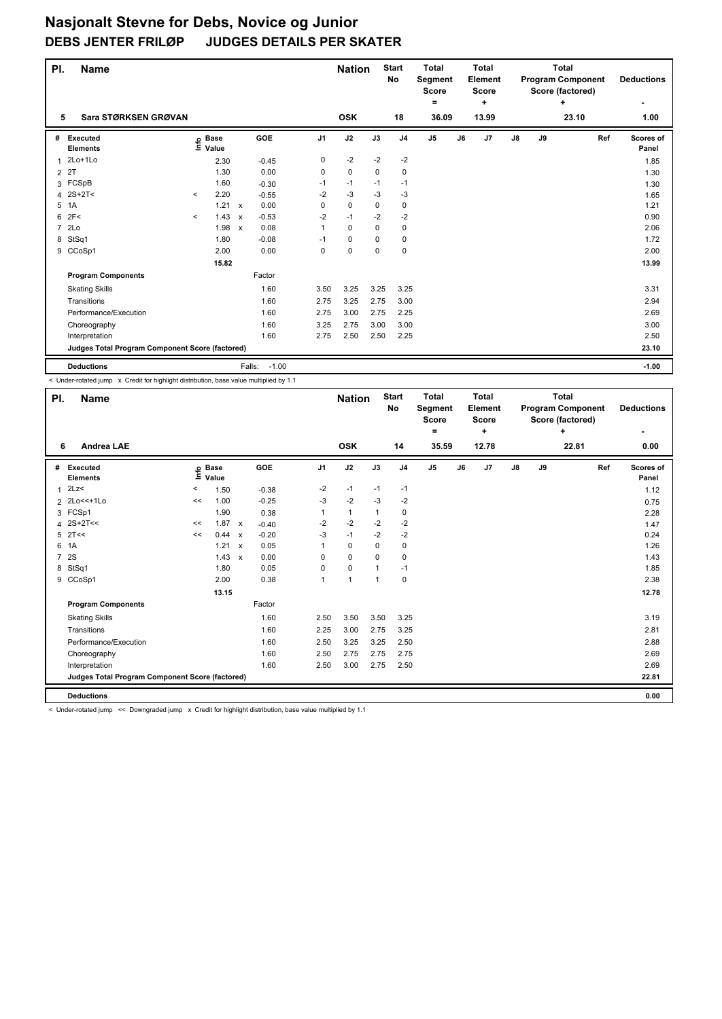| PI.            | <b>Name</b>                                     |                          |                            |                           |                   |          | <b>Nation</b> |             | <b>Start</b><br>No | <b>Total</b><br><b>Segment</b><br><b>Score</b> |    | <b>Total</b><br>Element<br><b>Score</b> |    |    | <b>Total</b><br><b>Program Component</b><br>Score (factored) | <b>Deductions</b>  |
|----------------|-------------------------------------------------|--------------------------|----------------------------|---------------------------|-------------------|----------|---------------|-------------|--------------------|------------------------------------------------|----|-----------------------------------------|----|----|--------------------------------------------------------------|--------------------|
|                |                                                 |                          |                            |                           |                   |          |               |             |                    | ۰                                              |    | ÷                                       |    |    | ÷                                                            |                    |
| 5              | Sara STØRKSEN GRØVAN                            |                          |                            |                           |                   |          | <b>OSK</b>    |             | 18                 | 36.09                                          |    | 13.99                                   |    |    | 23.10                                                        | 1.00               |
| #              | Executed<br><b>Elements</b>                     |                          | e Base<br>E Value<br>Value |                           | GOE               | J1       | J2            | J3          | J <sub>4</sub>     | J <sub>5</sub>                                 | J6 | J <sub>7</sub>                          | J8 | J9 | Ref                                                          | Scores of<br>Panel |
| 1              | 2Lo+1Lo                                         |                          | 2.30                       |                           | $-0.45$           | 0        | $-2$          | $-2$        | $-2$               |                                                |    |                                         |    |    |                                                              | 1.85               |
|                | 2 2T                                            |                          | 1.30                       |                           | 0.00              | $\Omega$ | 0             | $\Omega$    | 0                  |                                                |    |                                         |    |    |                                                              | 1.30               |
| 3              | FCSpB                                           |                          | 1.60                       |                           | $-0.30$           | $-1$     | $-1$          | $-1$        | $-1$               |                                                |    |                                         |    |    |                                                              | 1.30               |
| 4              | 2S+2T<                                          | $\overline{\phantom{a}}$ | 2.20                       |                           | $-0.55$           | $-2$     | $-3$          | -3          | $-3$               |                                                |    |                                         |    |    |                                                              | 1.65               |
|                | 5 1A                                            |                          | 1.21 x                     |                           | 0.00              | 0        | $\mathbf 0$   | 0           | 0                  |                                                |    |                                         |    |    |                                                              | 1.21               |
| 6              | 2F<                                             | $\prec$                  | 1.43                       | $\boldsymbol{\mathsf{x}}$ | $-0.53$           | $-2$     | $-1$          | $-2$        | $-2$               |                                                |    |                                         |    |    |                                                              | 0.90               |
| $\overline{7}$ | 2Lo                                             |                          | 1.98                       | $\mathsf{x}$              | 0.08              |          | $\Omega$      | $\Omega$    | 0                  |                                                |    |                                         |    |    |                                                              | 2.06               |
|                | 8 StSq1                                         |                          | 1.80                       |                           | $-0.08$           | $-1$     | 0             | 0           | 0                  |                                                |    |                                         |    |    |                                                              | 1.72               |
|                | 9 CCoSp1                                        |                          | 2.00                       |                           | 0.00              | 0        | 0             | $\mathbf 0$ | 0                  |                                                |    |                                         |    |    |                                                              | 2.00               |
|                |                                                 |                          | 15.82                      |                           |                   |          |               |             |                    |                                                |    |                                         |    |    |                                                              | 13.99              |
|                | <b>Program Components</b>                       |                          |                            |                           | Factor            |          |               |             |                    |                                                |    |                                         |    |    |                                                              |                    |
|                | <b>Skating Skills</b>                           |                          |                            |                           | 1.60              | 3.50     | 3.25          | 3.25        | 3.25               |                                                |    |                                         |    |    |                                                              | 3.31               |
|                | Transitions                                     |                          |                            |                           | 1.60              | 2.75     | 3.25          | 2.75        | 3.00               |                                                |    |                                         |    |    |                                                              | 2.94               |
|                | Performance/Execution                           |                          |                            |                           | 1.60              | 2.75     | 3.00          | 2.75        | 2.25               |                                                |    |                                         |    |    |                                                              | 2.69               |
|                | Choreography                                    |                          |                            |                           | 1.60              | 3.25     | 2.75          | 3.00        | 3.00               |                                                |    |                                         |    |    |                                                              | 3.00               |
|                | Interpretation                                  |                          |                            |                           | 1.60              | 2.75     | 2.50          | 2.50        | 2.25               |                                                |    |                                         |    |    |                                                              | 2.50               |
|                | Judges Total Program Component Score (factored) |                          |                            |                           |                   |          |               |             |                    |                                                |    |                                         |    |    |                                                              | 23.10              |
|                | <b>Deductions</b>                               |                          |                            |                           | $-1.00$<br>Falls: |          |               |             |                    |                                                |    |                                         |    |    |                                                              | $-1.00$            |

< Under-rotated jump x Credit for highlight distribution, base value multiplied by 1.1

| PI.            | <b>Name</b>                                                                                                       |    |                            |                                      |                | <b>Nation</b> |          | <b>Start</b><br>No | <b>Total</b><br>Segment<br>Score |    | <b>Total</b><br>Element<br><b>Score</b> |               |    | <b>Total</b><br><b>Program Component</b><br>Score (factored) | <b>Deductions</b>  |
|----------------|-------------------------------------------------------------------------------------------------------------------|----|----------------------------|--------------------------------------|----------------|---------------|----------|--------------------|----------------------------------|----|-----------------------------------------|---------------|----|--------------------------------------------------------------|--------------------|
|                |                                                                                                                   |    |                            |                                      |                |               |          |                    | ٠                                |    | ÷                                       |               |    | ÷                                                            |                    |
| 6              | <b>Andrea LAE</b>                                                                                                 |    |                            |                                      |                | <b>OSK</b>    |          | 14                 | 35.59                            |    | 12.78                                   |               |    | 22.81                                                        | 0.00               |
| #              | <b>Executed</b><br><b>Elements</b>                                                                                |    | e Base<br>E Value<br>Value | <b>GOE</b>                           | J <sub>1</sub> | J2            | J3       | J <sub>4</sub>     | J <sub>5</sub>                   | J6 | J7                                      | $\mathsf{J}8$ | J9 | Ref                                                          | Scores of<br>Panel |
| 1              | 2Lz                                                                                                               | <  | 1.50                       | $-0.38$                              | $-2$           | $-1$          | $-1$     | $-1$               |                                  |    |                                         |               |    |                                                              | 1.12               |
|                | 2 2Lo<<+1Lo                                                                                                       | << | 1.00                       | $-0.25$                              | $-3$           | $-2$          | $-3$     | $-2$               |                                  |    |                                         |               |    |                                                              | 0.75               |
|                | 3 FCSp1                                                                                                           |    | 1.90                       | 0.38                                 |                | $\mathbf{1}$  | 1        | 0                  |                                  |    |                                         |               |    |                                                              | 2.28               |
|                | $4.2S+2T<<$                                                                                                       | << | 1.87                       | $\boldsymbol{\mathsf{x}}$<br>$-0.40$ | $-2$           | $-2$          | $-2$     | -2                 |                                  |    |                                         |               |    |                                                              | 1.47               |
|                | $5$ 2T <<                                                                                                         | << | 0.44                       | $-0.20$<br>$\boldsymbol{\mathsf{x}}$ | $-3$           | $-1$          | $-2$     | $-2$               |                                  |    |                                         |               |    |                                                              | 0.24               |
|                | 6 1A                                                                                                              |    | 1.21                       | 0.05<br>$\boldsymbol{\mathsf{x}}$    | 1              | $\mathbf 0$   | 0        | 0                  |                                  |    |                                         |               |    |                                                              | 1.26               |
| $\overline{7}$ | 2S                                                                                                                |    | $1.43 \times$              | 0.00                                 | 0              | $\mathbf 0$   | $\Omega$ | 0                  |                                  |    |                                         |               |    |                                                              | 1.43               |
| 8              | StSq1                                                                                                             |    | 1.80                       | 0.05                                 | 0              | $\mathbf 0$   |          | $-1$               |                                  |    |                                         |               |    |                                                              | 1.85               |
|                | 9 CCoSp1                                                                                                          |    | 2.00                       | 0.38                                 | 1              | $\mathbf{1}$  | 1        | $\mathbf 0$        |                                  |    |                                         |               |    |                                                              | 2.38               |
|                |                                                                                                                   |    | 13.15                      |                                      |                |               |          |                    |                                  |    |                                         |               |    |                                                              | 12.78              |
|                | <b>Program Components</b>                                                                                         |    |                            | Factor                               |                |               |          |                    |                                  |    |                                         |               |    |                                                              |                    |
|                | <b>Skating Skills</b>                                                                                             |    |                            | 1.60                                 | 2.50           | 3.50          | 3.50     | 3.25               |                                  |    |                                         |               |    |                                                              | 3.19               |
|                | Transitions                                                                                                       |    |                            | 1.60                                 | 2.25           | 3.00          | 2.75     | 3.25               |                                  |    |                                         |               |    |                                                              | 2.81               |
|                | Performance/Execution                                                                                             |    |                            | 1.60                                 | 2.50           | 3.25          | 3.25     | 2.50               |                                  |    |                                         |               |    |                                                              | 2.88               |
|                | Choreography                                                                                                      |    |                            | 1.60                                 | 2.50           | 2.75          | 2.75     | 2.75               |                                  |    |                                         |               |    |                                                              | 2.69               |
|                | Interpretation                                                                                                    |    |                            | 1.60                                 | 2.50           | 3.00          | 2.75     | 2.50               |                                  |    |                                         |               |    |                                                              | 2.69               |
|                | Judges Total Program Component Score (factored)                                                                   |    |                            |                                      |                |               |          |                    |                                  |    |                                         |               |    |                                                              | 22.81              |
|                | <b>Deductions</b>                                                                                                 |    |                            |                                      |                |               |          |                    |                                  |    |                                         |               |    |                                                              | 0.00               |
|                | a Theorem control times that includes and there in Accord has brokened dragginged there including acceptance at a |    |                            |                                      |                |               |          |                    |                                  |    |                                         |               |    |                                                              |                    |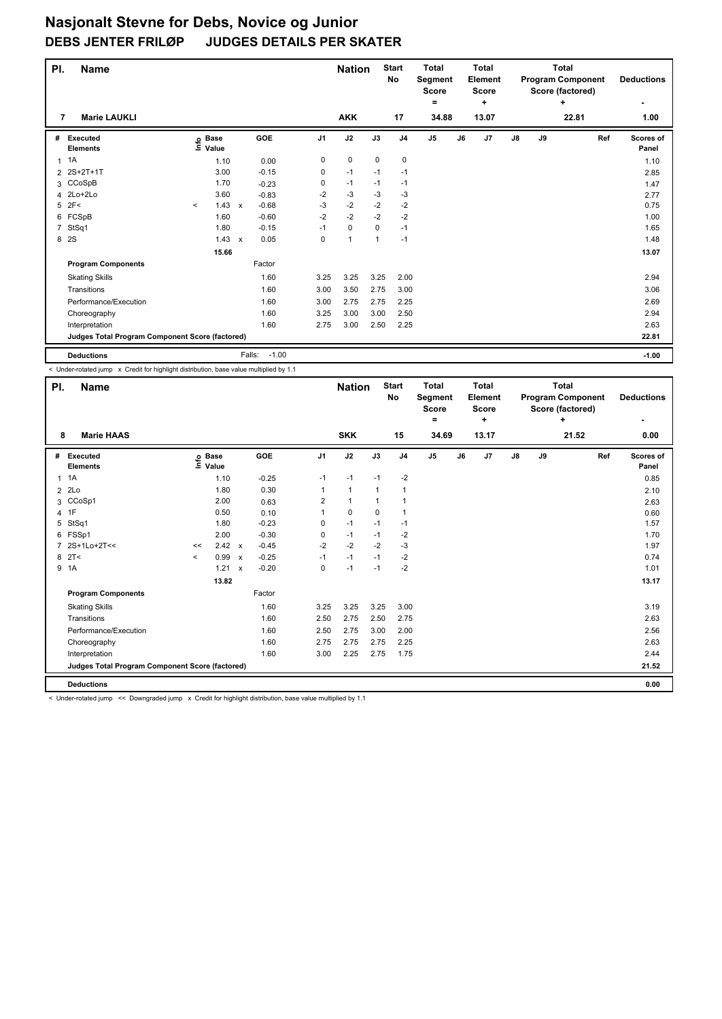| PI.            | <b>Name</b>                                     |         |                      |                           |         |                | <b>Nation</b> |              | <b>Start</b><br><b>No</b> | <b>Total</b><br>Segment<br><b>Score</b><br>= |    | Total<br><b>Element</b><br><b>Score</b><br>÷ |               |    | <b>Total</b><br><b>Program Component</b><br>Score (factored)<br>4 | <b>Deductions</b>  |
|----------------|-------------------------------------------------|---------|----------------------|---------------------------|---------|----------------|---------------|--------------|---------------------------|----------------------------------------------|----|----------------------------------------------|---------------|----|-------------------------------------------------------------------|--------------------|
| 7              | <b>Marie LAUKLI</b>                             |         |                      |                           |         |                | <b>AKK</b>    |              | 17                        | 34.88                                        |    | 13.07                                        |               |    | 22.81                                                             | 1.00               |
| #              | <b>Executed</b><br><b>Elements</b>              | Info    | <b>Base</b><br>Value |                           | GOE     | J <sub>1</sub> | J2            | J3           | J <sub>4</sub>            | J5                                           | J6 | J7                                           | $\mathsf{J}8$ | J9 | Ref                                                               | Scores of<br>Panel |
| 1              | 1A                                              |         | 1.10                 |                           | 0.00    | 0              | $\pmb{0}$     | 0            | $\pmb{0}$                 |                                              |    |                                              |               |    |                                                                   | 1.10               |
| $\overline{2}$ | 2S+2T+1T                                        |         | 3.00                 |                           | $-0.15$ | 0              | $-1$          | $-1$         | $-1$                      |                                              |    |                                              |               |    |                                                                   | 2.85               |
|                | 3 CCoSpB                                        |         | 1.70                 |                           | $-0.23$ | 0              | $-1$          | $-1$         | $-1$                      |                                              |    |                                              |               |    |                                                                   | 1.47               |
| 4              | 2Lo+2Lo                                         |         | 3.60                 |                           | $-0.83$ | $-2$           | $-3$          | -3           | -3                        |                                              |    |                                              |               |    |                                                                   | 2.77               |
| 5              | 2F<                                             | $\prec$ | 1.43                 | $\boldsymbol{\mathsf{x}}$ | $-0.68$ | $-3$           | $-2$          | $-2$         | $-2$                      |                                              |    |                                              |               |    |                                                                   | 0.75               |
| 6              | FCSpB                                           |         | 1.60                 |                           | $-0.60$ | $-2$           | $-2$          | $-2$         | $-2$                      |                                              |    |                                              |               |    |                                                                   | 1.00               |
| 7              | StSq1                                           |         | 1.80                 |                           | $-0.15$ | $-1$           | $\mathbf 0$   | $\mathbf 0$  | $-1$                      |                                              |    |                                              |               |    |                                                                   | 1.65               |
|                | 8 2S                                            |         | 1.43                 | $\mathsf{x}$              | 0.05    | 0              | $\mathbf{1}$  | $\mathbf{1}$ | $-1$                      |                                              |    |                                              |               |    |                                                                   | 1.48               |
|                |                                                 |         | 15.66                |                           |         |                |               |              |                           |                                              |    |                                              |               |    |                                                                   | 13.07              |
|                | <b>Program Components</b>                       |         |                      |                           | Factor  |                |               |              |                           |                                              |    |                                              |               |    |                                                                   |                    |
|                | <b>Skating Skills</b>                           |         |                      |                           | 1.60    | 3.25           | 3.25          | 3.25         | 2.00                      |                                              |    |                                              |               |    |                                                                   | 2.94               |
|                | Transitions                                     |         |                      |                           | 1.60    | 3.00           | 3.50          | 2.75         | 3.00                      |                                              |    |                                              |               |    |                                                                   | 3.06               |
|                | Performance/Execution                           |         |                      |                           | 1.60    | 3.00           | 2.75          | 2.75         | 2.25                      |                                              |    |                                              |               |    |                                                                   | 2.69               |
|                | Choreography                                    |         |                      |                           | 1.60    | 3.25           | 3.00          | 3.00         | 2.50                      |                                              |    |                                              |               |    |                                                                   | 2.94               |
|                | Interpretation                                  |         |                      |                           | 1.60    | 2.75           | 3.00          | 2.50         | 2.25                      |                                              |    |                                              |               |    |                                                                   | 2.63               |
|                | Judges Total Program Component Score (factored) |         |                      |                           |         |                |               |              |                           |                                              |    |                                              |               |    |                                                                   | 22.81              |
|                | <b>Deductions</b>                               |         |                      | Falls:                    | $-1.00$ |                |               |              |                           |                                              |    |                                              |               |    |                                                                   | $-1.00$            |

< Under-rotated jump x Credit for highlight distribution, base value multiplied by 1.1

| PI.            | <b>Name</b>                                     |         |                      |                           |         |                | <b>Nation</b>  |              | <b>Start</b><br><b>No</b> | <b>Total</b><br>Segment<br><b>Score</b><br>۰ |    | <b>Total</b><br>Element<br><b>Score</b><br>٠ |               |    | <b>Total</b><br><b>Program Component</b><br>Score (factored)<br>÷ |     | <b>Deductions</b>         |
|----------------|-------------------------------------------------|---------|----------------------|---------------------------|---------|----------------|----------------|--------------|---------------------------|----------------------------------------------|----|----------------------------------------------|---------------|----|-------------------------------------------------------------------|-----|---------------------------|
| 8              | <b>Marie HAAS</b>                               |         |                      |                           |         |                | <b>SKK</b>     |              | 15                        | 34.69                                        |    | 13.17                                        |               |    | 21.52                                                             |     | 0.00                      |
| #              | Executed<br><b>Elements</b>                     | ١m      | <b>Base</b><br>Value |                           | GOE     | J <sub>1</sub> | J2             | J3           | J <sub>4</sub>            | J <sub>5</sub>                               | J6 | J7                                           | $\mathsf{J}8$ | J9 |                                                                   | Ref | <b>Scores of</b><br>Panel |
| $\mathbf{1}$   | 1A                                              |         | 1.10                 |                           | $-0.25$ | $-1$           | $-1$           | $-1$         | $-2$                      |                                              |    |                                              |               |    |                                                                   |     | 0.85                      |
| $\overline{2}$ | 2Lo                                             |         | 1.80                 |                           | 0.30    | 1              | $\mathbf{1}$   | $\mathbf{1}$ | $\mathbf{1}$              |                                              |    |                                              |               |    |                                                                   |     | 2.10                      |
|                | 3 CCoSp1                                        |         | 2.00                 |                           | 0.63    | $\overline{2}$ | $\overline{1}$ | $\mathbf{1}$ | $\mathbf{1}$              |                                              |    |                                              |               |    |                                                                   |     | 2.63                      |
|                | 4 1F                                            |         | 0.50                 |                           | 0.10    | 1              | $\mathbf 0$    | $\mathbf 0$  | $\mathbf{1}$              |                                              |    |                                              |               |    |                                                                   |     | 0.60                      |
| 5              | StSq1                                           |         | 1.80                 |                           | $-0.23$ | 0              | $-1$           | $-1$         | $-1$                      |                                              |    |                                              |               |    |                                                                   |     | 1.57                      |
|                | 6 FSSp1                                         |         | 2.00                 |                           | $-0.30$ | 0              | $-1$           | $-1$         | $-2$                      |                                              |    |                                              |               |    |                                                                   |     | 1.70                      |
| $\overline{7}$ | 2S+1Lo+2T<<                                     | <<      | 2.42                 | $\mathbf{x}$              | $-0.45$ | $-2$           | $-2$           | $-2$         | -3                        |                                              |    |                                              |               |    |                                                                   |     | 1.97                      |
| 8              | 2T<                                             | $\prec$ | 0.99                 | $\boldsymbol{\mathsf{x}}$ | $-0.25$ | $-1$           | $-1$           | $-1$         | $-2$                      |                                              |    |                                              |               |    |                                                                   |     | 0.74                      |
|                | 9 1A                                            |         | 1.21                 | $\boldsymbol{\mathsf{x}}$ | $-0.20$ | 0              | $-1$           | $-1$         | $-2$                      |                                              |    |                                              |               |    |                                                                   |     | 1.01                      |
|                |                                                 |         | 13.82                |                           |         |                |                |              |                           |                                              |    |                                              |               |    |                                                                   |     | 13.17                     |
|                | <b>Program Components</b>                       |         |                      |                           | Factor  |                |                |              |                           |                                              |    |                                              |               |    |                                                                   |     |                           |
|                | <b>Skating Skills</b>                           |         |                      |                           | 1.60    | 3.25           | 3.25           | 3.25         | 3.00                      |                                              |    |                                              |               |    |                                                                   |     | 3.19                      |
|                | Transitions                                     |         |                      |                           | 1.60    | 2.50           | 2.75           | 2.50         | 2.75                      |                                              |    |                                              |               |    |                                                                   |     | 2.63                      |
|                | Performance/Execution                           |         |                      |                           | 1.60    | 2.50           | 2.75           | 3.00         | 2.00                      |                                              |    |                                              |               |    |                                                                   |     | 2.56                      |
|                | Choreography                                    |         |                      |                           | 1.60    | 2.75           | 2.75           | 2.75         | 2.25                      |                                              |    |                                              |               |    |                                                                   |     | 2.63                      |
|                | Interpretation                                  |         |                      |                           | 1.60    | 3.00           | 2.25           | 2.75         | 1.75                      |                                              |    |                                              |               |    |                                                                   |     | 2.44                      |
|                | Judges Total Program Component Score (factored) |         |                      |                           |         |                |                |              |                           |                                              |    |                                              |               |    |                                                                   |     | 21.52                     |
|                | <b>Deductions</b>                               |         |                      |                           |         |                |                |              |                           |                                              |    |                                              |               |    |                                                                   |     | 0.00                      |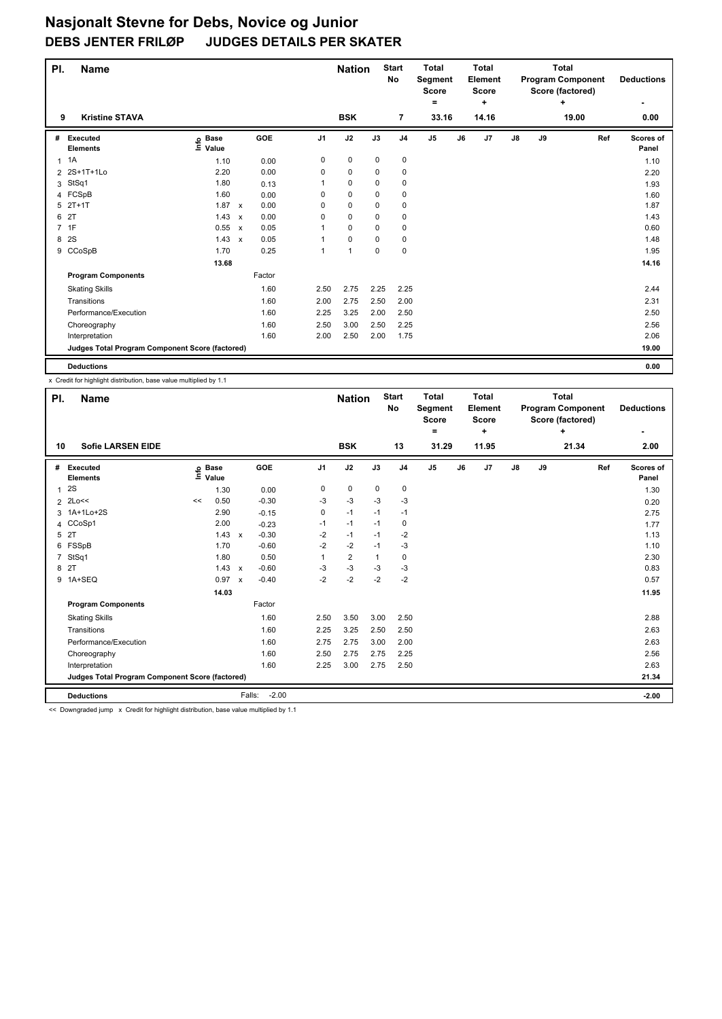| PI.          | <b>Name</b>                                     |                   |        |      | <b>Nation</b> |             | <b>Start</b><br>No | <b>Total</b><br>Segment<br><b>Score</b> |    | <b>Total</b><br>Element<br><b>Score</b> |    |    | <b>Total</b><br><b>Program Component</b><br>Score (factored) | <b>Deductions</b>  |
|--------------|-------------------------------------------------|-------------------|--------|------|---------------|-------------|--------------------|-----------------------------------------|----|-----------------------------------------|----|----|--------------------------------------------------------------|--------------------|
|              |                                                 |                   |        |      |               |             |                    | ۰                                       |    | ÷                                       |    |    | ÷                                                            |                    |
| 9            | <b>Kristine STAVA</b>                           |                   |        |      | <b>BSK</b>    |             | $\overline{7}$     | 33.16                                   |    | 14.16                                   |    |    | 19.00                                                        | 0.00               |
| #            | Executed<br><b>Elements</b>                     | e Base<br>⊑ Value | GOE    | J1   | J2            | J3          | J <sub>4</sub>     | J <sub>5</sub>                          | J6 | J7                                      | J8 | J9 | Ref                                                          | Scores of<br>Panel |
| $\mathbf{1}$ | 1A                                              | 1.10              | 0.00   | 0    | 0             | 0           | 0                  |                                         |    |                                         |    |    |                                                              | 1.10               |
|              | 2 2S+1T+1Lo                                     | 2.20              | 0.00   | 0    | 0             | 0           | 0                  |                                         |    |                                         |    |    |                                                              | 2.20               |
| 3            | StSq1                                           | 1.80              | 0.13   |      | $\mathbf 0$   | 0           | 0                  |                                         |    |                                         |    |    |                                                              | 1.93               |
|              | 4 FCSpB                                         | 1.60              | 0.00   | 0    | $\mathbf 0$   | $\Omega$    | 0                  |                                         |    |                                         |    |    |                                                              | 1.60               |
|              | $5$ $2T+1T$                                     | 1.87 x            | 0.00   | 0    | 0             | 0           | 0                  |                                         |    |                                         |    |    |                                                              | 1.87               |
| 6            | 2T                                              | $1.43 \times$     | 0.00   | 0    | $\mathbf 0$   | 0           | 0                  |                                         |    |                                         |    |    |                                                              | 1.43               |
|              | 7 1F                                            | 0.55 x            | 0.05   |      | 0             | $\Omega$    | 0                  |                                         |    |                                         |    |    |                                                              | 0.60               |
|              | 8 2S                                            | $1.43 \times$     | 0.05   |      | $\mathbf 0$   | 0           | $\mathbf 0$        |                                         |    |                                         |    |    |                                                              | 1.48               |
|              | 9 CCoSpB                                        | 1.70              | 0.25   | 1    | 1             | $\mathbf 0$ | 0                  |                                         |    |                                         |    |    |                                                              | 1.95               |
|              |                                                 | 13.68             |        |      |               |             |                    |                                         |    |                                         |    |    |                                                              | 14.16              |
|              | <b>Program Components</b>                       |                   | Factor |      |               |             |                    |                                         |    |                                         |    |    |                                                              |                    |
|              | <b>Skating Skills</b>                           |                   | 1.60   | 2.50 | 2.75          | 2.25        | 2.25               |                                         |    |                                         |    |    |                                                              | 2.44               |
|              | Transitions                                     |                   | 1.60   | 2.00 | 2.75          | 2.50        | 2.00               |                                         |    |                                         |    |    |                                                              | 2.31               |
|              | Performance/Execution                           |                   | 1.60   | 2.25 | 3.25          | 2.00        | 2.50               |                                         |    |                                         |    |    |                                                              | 2.50               |
|              | Choreography                                    |                   | 1.60   | 2.50 | 3.00          | 2.50        | 2.25               |                                         |    |                                         |    |    |                                                              | 2.56               |
|              | Interpretation                                  |                   | 1.60   | 2.00 | 2.50          | 2.00        | 1.75               |                                         |    |                                         |    |    |                                                              | 2.06               |
|              | Judges Total Program Component Score (factored) |                   |        |      |               |             |                    |                                         |    |                                         |    |    |                                                              | 19.00              |
|              | <b>Deductions</b>                               |                   |        |      |               |             |                    |                                         |    |                                         |    |    |                                                              | 0.00               |

x Credit for highlight distribution, base value multiplied by 1.1

| PI. | <b>Name</b>                                                                           |    |                            |              |         |                | <b>Nation</b>  |              | <b>Start</b><br>No | <b>Total</b><br>Segment<br><b>Score</b><br>$=$ |    | <b>Total</b><br>Element<br><b>Score</b><br>٠ |    |    | <b>Total</b><br><b>Program Component</b><br>Score (factored)<br>٠ |     | <b>Deductions</b>  |
|-----|---------------------------------------------------------------------------------------|----|----------------------------|--------------|---------|----------------|----------------|--------------|--------------------|------------------------------------------------|----|----------------------------------------------|----|----|-------------------------------------------------------------------|-----|--------------------|
| 10  | <b>Sofie LARSEN EIDE</b>                                                              |    |                            |              |         |                | <b>BSK</b>     |              | 13                 | 31.29                                          |    | 11.95                                        |    |    | 21.34                                                             |     | 2.00               |
| #   | Executed<br><b>Elements</b>                                                           |    | e Base<br>E Value<br>Value |              | GOE     | J <sub>1</sub> | J2             | J3           | J <sub>4</sub>     | J5                                             | J6 | J7                                           | J8 | J9 |                                                                   | Ref | Scores of<br>Panel |
| 1   | 2S                                                                                    |    | 1.30                       |              | 0.00    | 0              | 0              | 0            | $\mathbf 0$        |                                                |    |                                              |    |    |                                                                   |     | 1.30               |
|     | 2 2Lo<<                                                                               | << | 0.50                       |              | $-0.30$ | $-3$           | $-3$           | $-3$         | $-3$               |                                                |    |                                              |    |    |                                                                   |     | 0.20               |
|     | 3 1A+1Lo+2S                                                                           |    | 2.90                       |              | $-0.15$ | 0              | $-1$           | $-1$         | $-1$               |                                                |    |                                              |    |    |                                                                   |     | 2.75               |
|     | 4 CCoSp1                                                                              |    | 2.00                       |              | $-0.23$ | $-1$           | $-1$           | $-1$         | 0                  |                                                |    |                                              |    |    |                                                                   |     | 1.77               |
|     | 5 2T                                                                                  |    | $1.43 \times$              |              | $-0.30$ | $-2$           | $-1$           | $-1$         | $-2$               |                                                |    |                                              |    |    |                                                                   |     | 1.13               |
| 6   | FSSpB                                                                                 |    | 1.70                       |              | $-0.60$ | $-2$           | $-2$           | $-1$         | $-3$               |                                                |    |                                              |    |    |                                                                   |     | 1.10               |
|     | 7 StSq1                                                                               |    | 1.80                       |              | 0.50    | 1              | $\overline{2}$ | $\mathbf{1}$ | 0                  |                                                |    |                                              |    |    |                                                                   |     | 2.30               |
|     | 8 2T                                                                                  |    | 1.43                       | $\mathbf{x}$ | $-0.60$ | $-3$           | $-3$           | $-3$         | $-3$               |                                                |    |                                              |    |    |                                                                   |     | 0.83               |
|     | 9 1A+SEQ                                                                              |    | 0.97 x                     |              | $-0.40$ | $-2$           | $-2$           | $-2$         | $-2$               |                                                |    |                                              |    |    |                                                                   |     | 0.57               |
|     |                                                                                       |    | 14.03                      |              |         |                |                |              |                    |                                                |    |                                              |    |    |                                                                   |     | 11.95              |
|     | <b>Program Components</b>                                                             |    |                            |              | Factor  |                |                |              |                    |                                                |    |                                              |    |    |                                                                   |     |                    |
|     | <b>Skating Skills</b>                                                                 |    |                            |              | 1.60    | 2.50           | 3.50           | 3.00         | 2.50               |                                                |    |                                              |    |    |                                                                   |     | 2.88               |
|     | Transitions                                                                           |    |                            |              | 1.60    | 2.25           | 3.25           | 2.50         | 2.50               |                                                |    |                                              |    |    |                                                                   |     | 2.63               |
|     | Performance/Execution                                                                 |    |                            |              | 1.60    | 2.75           | 2.75           | 3.00         | 2.00               |                                                |    |                                              |    |    |                                                                   |     | 2.63               |
|     | Choreography                                                                          |    |                            |              | 1.60    | 2.50           | 2.75           | 2.75         | 2.25               |                                                |    |                                              |    |    |                                                                   |     | 2.56               |
|     | Interpretation                                                                        |    |                            |              | 1.60    | 2.25           | 3.00           | 2.75         | 2.50               |                                                |    |                                              |    |    |                                                                   |     | 2.63               |
|     | Judges Total Program Component Score (factored)                                       |    |                            |              |         |                |                |              |                    |                                                |    |                                              |    |    |                                                                   |     | 21.34              |
|     | <b>Deductions</b>                                                                     |    |                            | Falls:       | $-2.00$ |                |                |              |                    |                                                |    |                                              |    |    |                                                                   |     | $-2.00$            |
|     | ss. Downgraded jump x Credit for highlight distribution, hase value multiplied by 1.1 |    |                            |              |         |                |                |              |                    |                                                |    |                                              |    |    |                                                                   |     |                    |

Downgraded jump x Credit for highlight distribution, base value multiplied by 1.1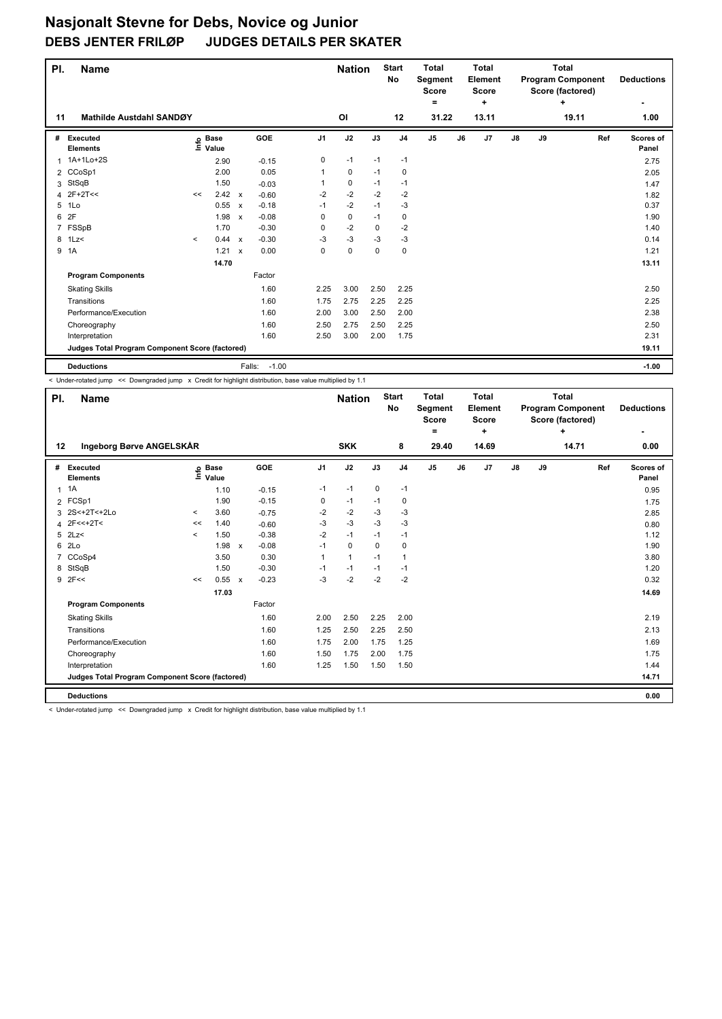| PI. | <b>Name</b>                                     |         |                   |                           |                   |                | <b>Nation</b> |      | <b>Start</b><br><b>No</b> | <b>Total</b><br><b>Segment</b><br><b>Score</b> |    | <b>Total</b><br><b>Element</b><br><b>Score</b> |            |    | <b>Total</b><br><b>Program Component</b><br>Score (factored) | <b>Deductions</b>  |
|-----|-------------------------------------------------|---------|-------------------|---------------------------|-------------------|----------------|---------------|------|---------------------------|------------------------------------------------|----|------------------------------------------------|------------|----|--------------------------------------------------------------|--------------------|
|     |                                                 |         |                   |                           |                   |                |               |      |                           | ۰                                              |    | ٠                                              |            |    | ÷                                                            |                    |
| 11  | <b>Mathilde Austdahl SANDØY</b>                 |         |                   |                           |                   |                | ΟI            |      | 12                        | 31.22                                          |    | 13.11                                          |            |    | 19.11                                                        | 1.00               |
| #   | Executed<br><b>Elements</b>                     |         | e Base<br>⊑ Value |                           | <b>GOE</b>        | J <sub>1</sub> | J2            | J3   | J <sub>4</sub>            | J <sub>5</sub>                                 | J6 | J7                                             | ${\sf J8}$ | J9 | Ref                                                          | Scores of<br>Panel |
| 1   | 1A+1Lo+2S                                       |         | 2.90              |                           | $-0.15$           | 0              | $-1$          | $-1$ | $-1$                      |                                                |    |                                                |            |    |                                                              | 2.75               |
|     | 2 CCoSp1                                        |         | 2.00              |                           | 0.05              | 1              | 0             | $-1$ | 0                         |                                                |    |                                                |            |    |                                                              | 2.05               |
| 3   | StSqB                                           |         | 1.50              |                           | $-0.03$           | 1              | $\pmb{0}$     | $-1$ | $-1$                      |                                                |    |                                                |            |    |                                                              | 1.47               |
|     | 4 2F+2T<<                                       | <<      | 2.42              | $\mathsf{x}$              | $-0.60$           | $-2$           | $-2$          | $-2$ | $-2$                      |                                                |    |                                                |            |    |                                                              | 1.82               |
| 5   | 1Lo                                             |         | 0.55              | $\boldsymbol{\mathsf{x}}$ | $-0.18$           | $-1$           | $-2$          | $-1$ | $-3$                      |                                                |    |                                                |            |    |                                                              | 0.37               |
| 6   | 2F                                              |         | 1.98              | $\boldsymbol{\mathsf{x}}$ | $-0.08$           | 0              | 0             | $-1$ | 0                         |                                                |    |                                                |            |    |                                                              | 1.90               |
|     | FSSpB                                           |         | 1.70              |                           | $-0.30$           | 0              | $-2$          | 0    | $-2$                      |                                                |    |                                                |            |    |                                                              | 1.40               |
|     | 8 1Lz<                                          | $\prec$ | 0.44 x            |                           | $-0.30$           | $-3$           | $-3$          | $-3$ | $-3$                      |                                                |    |                                                |            |    |                                                              | 0.14               |
|     | 9 1A                                            |         | 1.21              | $\boldsymbol{\mathsf{x}}$ | 0.00              | 0              | $\mathbf 0$   | 0    | 0                         |                                                |    |                                                |            |    |                                                              | 1.21               |
|     |                                                 |         | 14.70             |                           |                   |                |               |      |                           |                                                |    |                                                |            |    |                                                              | 13.11              |
|     | <b>Program Components</b>                       |         |                   |                           | Factor            |                |               |      |                           |                                                |    |                                                |            |    |                                                              |                    |
|     | <b>Skating Skills</b>                           |         |                   |                           | 1.60              | 2.25           | 3.00          | 2.50 | 2.25                      |                                                |    |                                                |            |    |                                                              | 2.50               |
|     | Transitions                                     |         |                   |                           | 1.60              | 1.75           | 2.75          | 2.25 | 2.25                      |                                                |    |                                                |            |    |                                                              | 2.25               |
|     | Performance/Execution                           |         |                   |                           | 1.60              | 2.00           | 3.00          | 2.50 | 2.00                      |                                                |    |                                                |            |    |                                                              | 2.38               |
|     | Choreography                                    |         |                   |                           | 1.60              | 2.50           | 2.75          | 2.50 | 2.25                      |                                                |    |                                                |            |    |                                                              | 2.50               |
|     | Interpretation                                  |         |                   |                           | 1.60              | 2.50           | 3.00          | 2.00 | 1.75                      |                                                |    |                                                |            |    |                                                              | 2.31               |
|     | Judges Total Program Component Score (factored) |         |                   |                           |                   |                |               |      |                           |                                                |    |                                                |            |    |                                                              | 19.11              |
|     | <b>Deductions</b>                               |         |                   |                           | $-1.00$<br>Falls: |                |               |      |                           |                                                |    |                                                |            |    |                                                              | $-1.00$            |

< Under-rotated jump << Downgraded jump x Credit for highlight distribution, base value multiplied by 1.1

| PI.            | <b>Name</b>                                                                                                     |         |                   |              |         |      | <b>Nation</b> |             | <b>Start</b><br><b>No</b> | <b>Total</b><br>Segment<br><b>Score</b><br>= |    | <b>Total</b><br><b>Element</b><br>Score<br>٠ |    |    | <b>Total</b><br><b>Program Component</b><br>Score (factored)<br>٠ |     | <b>Deductions</b><br>٠    |
|----------------|-----------------------------------------------------------------------------------------------------------------|---------|-------------------|--------------|---------|------|---------------|-------------|---------------------------|----------------------------------------------|----|----------------------------------------------|----|----|-------------------------------------------------------------------|-----|---------------------------|
| 12             | Ingeborg Børve ANGELSKÅR                                                                                        |         |                   |              |         |      | <b>SKK</b>    |             | 8                         | 29.40                                        |    | 14.69                                        |    |    | 14.71                                                             |     | 0.00                      |
| #              | <b>Executed</b><br><b>Elements</b>                                                                              |         | e Base<br>E Value |              | GOE     | J1   | J2            | J3          | J <sub>4</sub>            | J5                                           | J6 | J7                                           | J8 | J9 |                                                                   | Ref | <b>Scores of</b><br>Panel |
| $\mathbf{1}$   | 1A                                                                                                              |         | 1.10              |              | $-0.15$ | $-1$ | $-1$          | $\mathbf 0$ | $-1$                      |                                              |    |                                              |    |    |                                                                   |     | 0.95                      |
|                | 2 FCSp1                                                                                                         |         | 1.90              |              | $-0.15$ | 0    | $-1$          | $-1$        | 0                         |                                              |    |                                              |    |    |                                                                   |     | 1.75                      |
| 3              | 2S<+2T<+2Lo                                                                                                     | $\prec$ | 3.60              |              | $-0.75$ | -2   | $-2$          | -3          | -3                        |                                              |    |                                              |    |    |                                                                   |     | 2.85                      |
|                | 4 2F<<+2T<                                                                                                      | <<      | 1.40              |              | $-0.60$ | $-3$ | $-3$          | $-3$        | $-3$                      |                                              |    |                                              |    |    |                                                                   |     | 0.80                      |
|                | $5$ 2Lz<                                                                                                        | $\prec$ | 1.50              |              | $-0.38$ | $-2$ | $-1$          | $-1$        | $-1$                      |                                              |    |                                              |    |    |                                                                   |     | 1.12                      |
| 6              | 2Lo                                                                                                             |         | 1.98              | $\mathsf{x}$ | $-0.08$ | $-1$ | $\mathbf 0$   | 0           | $\mathbf 0$               |                                              |    |                                              |    |    |                                                                   |     | 1.90                      |
| $\overline{7}$ | CCoSp4                                                                                                          |         | 3.50              |              | 0.30    | 1    | $\mathbf{1}$  | $-1$        | 1                         |                                              |    |                                              |    |    |                                                                   |     | 3.80                      |
| 8              | StSqB                                                                                                           |         | 1.50              |              | $-0.30$ | $-1$ | $-1$          | $-1$        | $-1$                      |                                              |    |                                              |    |    |                                                                   |     | 1.20                      |
|                | $9$ 2F<<                                                                                                        | <<      | 0.55              | $\mathsf{x}$ | $-0.23$ | $-3$ | $-2$          | $-2$        | $-2$                      |                                              |    |                                              |    |    |                                                                   |     | 0.32                      |
|                |                                                                                                                 |         | 17.03             |              |         |      |               |             |                           |                                              |    |                                              |    |    |                                                                   |     | 14.69                     |
|                | <b>Program Components</b>                                                                                       |         |                   |              | Factor  |      |               |             |                           |                                              |    |                                              |    |    |                                                                   |     |                           |
|                | <b>Skating Skills</b>                                                                                           |         |                   |              | 1.60    | 2.00 | 2.50          | 2.25        | 2.00                      |                                              |    |                                              |    |    |                                                                   |     | 2.19                      |
|                | Transitions                                                                                                     |         |                   |              | 1.60    | 1.25 | 2.50          | 2.25        | 2.50                      |                                              |    |                                              |    |    |                                                                   |     | 2.13                      |
|                | Performance/Execution                                                                                           |         |                   |              | 1.60    | 1.75 | 2.00          | 1.75        | 1.25                      |                                              |    |                                              |    |    |                                                                   |     | 1.69                      |
|                | Choreography                                                                                                    |         |                   |              | 1.60    | 1.50 | 1.75          | 2.00        | 1.75                      |                                              |    |                                              |    |    |                                                                   |     | 1.75                      |
|                | Interpretation                                                                                                  |         |                   |              | 1.60    | 1.25 | 1.50          | 1.50        | 1.50                      |                                              |    |                                              |    |    |                                                                   |     | 1.44                      |
|                | Judges Total Program Component Score (factored)                                                                 |         |                   |              |         |      |               |             |                           |                                              |    |                                              |    |    |                                                                   |     | 14.71                     |
|                | <b>Deductions</b>                                                                                               |         |                   |              |         |      |               |             |                           |                                              |    |                                              |    |    |                                                                   |     | 0.00                      |
|                | Lindon retated in any set Democrated in any or Credit for bighlight distribution, began uping multiplied by 4.4 |         |                   |              |         |      |               |             |                           |                                              |    |                                              |    |    |                                                                   |     |                           |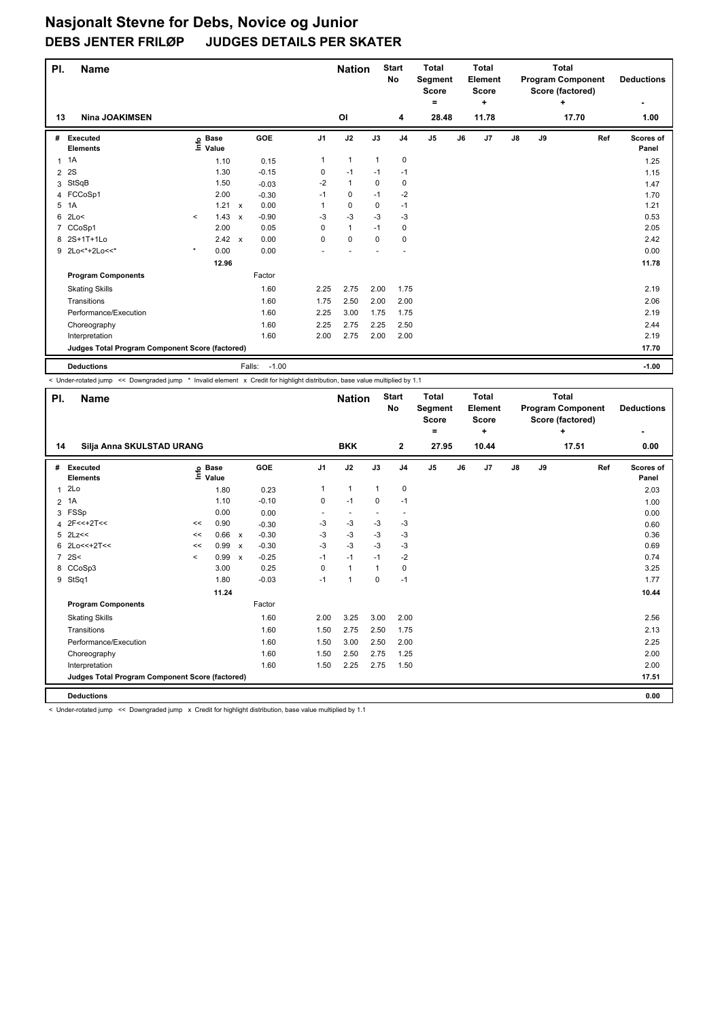| PI.            | <b>Name</b>                                     |         |                            |                           |                   |                | <b>Nation</b> |      | <b>Start</b><br>No | <b>Total</b><br>Segment<br><b>Score</b><br>$=$ |    | <b>Total</b><br>Element<br><b>Score</b><br>÷ |               |    | <b>Total</b><br><b>Program Component</b><br>Score (factored)<br>٠ | <b>Deductions</b>  |
|----------------|-------------------------------------------------|---------|----------------------------|---------------------------|-------------------|----------------|---------------|------|--------------------|------------------------------------------------|----|----------------------------------------------|---------------|----|-------------------------------------------------------------------|--------------------|
| 13             | <b>Nina JOAKIMSEN</b>                           |         |                            |                           |                   |                | OI            |      | 4                  | 28.48                                          |    | 11.78                                        |               |    | 17.70                                                             | 1.00               |
| #              | Executed<br><b>Elements</b>                     |         | e Base<br>E Value<br>Value |                           | GOE               | J <sub>1</sub> | J2            | J3   | J <sub>4</sub>     | J <sub>5</sub>                                 | J6 | J7                                           | $\mathsf{J}8$ | J9 | Ref                                                               | Scores of<br>Panel |
|                | $1 \t1A$                                        |         | 1.10                       |                           | 0.15              | 1              | $\mathbf{1}$  | 1    | 0                  |                                                |    |                                              |               |    |                                                                   | 1.25               |
| $\overline{2}$ | <b>2S</b>                                       |         | 1.30                       |                           | $-0.15$           | 0              | $-1$          | $-1$ | $-1$               |                                                |    |                                              |               |    |                                                                   | 1.15               |
| 3              | StSqB                                           |         | 1.50                       |                           | $-0.03$           | $-2$           | $\mathbf{1}$  | 0    | 0                  |                                                |    |                                              |               |    |                                                                   | 1.47               |
|                | 4 FCCoSp1                                       |         | 2.00                       |                           | $-0.30$           | $-1$           | 0             | $-1$ | $-2$               |                                                |    |                                              |               |    |                                                                   | 1.70               |
| 5              | 1A                                              |         | 1.21 x                     |                           | 0.00              |                | 0             | 0    | $-1$               |                                                |    |                                              |               |    |                                                                   | 1.21               |
| 6              | 2Lo<                                            | $\,<\,$ | 1.43                       | $\boldsymbol{\mathsf{x}}$ | $-0.90$           | $-3$           | $-3$          | $-3$ | $-3$               |                                                |    |                                              |               |    |                                                                   | 0.53               |
| 7              | CCoSp1                                          |         | 2.00                       |                           | 0.05              | 0              | $\mathbf{1}$  | $-1$ | 0                  |                                                |    |                                              |               |    |                                                                   | 2.05               |
|                | 8 2S+1T+1Lo                                     |         | $2.42 \times$              |                           | 0.00              | 0              | 0             | 0    | 0                  |                                                |    |                                              |               |    |                                                                   | 2.42               |
|                | 9 2Lo<*+2Lo<<*                                  | $\star$ | 0.00                       |                           | 0.00              |                |               |      |                    |                                                |    |                                              |               |    |                                                                   | 0.00               |
|                |                                                 |         | 12.96                      |                           |                   |                |               |      |                    |                                                |    |                                              |               |    |                                                                   | 11.78              |
|                | <b>Program Components</b>                       |         |                            |                           | Factor            |                |               |      |                    |                                                |    |                                              |               |    |                                                                   |                    |
|                | <b>Skating Skills</b>                           |         |                            |                           | 1.60              | 2.25           | 2.75          | 2.00 | 1.75               |                                                |    |                                              |               |    |                                                                   | 2.19               |
|                | Transitions                                     |         |                            |                           | 1.60              | 1.75           | 2.50          | 2.00 | 2.00               |                                                |    |                                              |               |    |                                                                   | 2.06               |
|                | Performance/Execution                           |         |                            |                           | 1.60              | 2.25           | 3.00          | 1.75 | 1.75               |                                                |    |                                              |               |    |                                                                   | 2.19               |
|                | Choreography                                    |         |                            |                           | 1.60              | 2.25           | 2.75          | 2.25 | 2.50               |                                                |    |                                              |               |    |                                                                   | 2.44               |
|                | Interpretation                                  |         |                            |                           | 1.60              | 2.00           | 2.75          | 2.00 | 2.00               |                                                |    |                                              |               |    |                                                                   | 2.19               |
|                | Judges Total Program Component Score (factored) |         |                            |                           |                   |                |               |      |                    |                                                |    |                                              |               |    |                                                                   | 17.70              |
|                | <b>Deductions</b>                               |         |                            |                           | Falls:<br>$-1.00$ |                |               |      |                    |                                                |    |                                              |               |    |                                                                   | $-1.00$            |

< Under-rotated jump << Downgraded jump \* Invalid element x Credit for highlight distribution, base value multiplied by 1.1

| PI.            | <b>Name</b>                                                                                                     |          |                                  |              |         |                | <b>Nation</b>            |              | <b>Start</b><br>No       | <b>Total</b><br><b>Segment</b><br><b>Score</b><br>= |    | <b>Total</b><br><b>Element</b><br><b>Score</b><br>÷ |    |    | <b>Total</b><br><b>Program Component</b><br>Score (factored)<br>÷ | <b>Deductions</b><br>٠ |
|----------------|-----------------------------------------------------------------------------------------------------------------|----------|----------------------------------|--------------|---------|----------------|--------------------------|--------------|--------------------------|-----------------------------------------------------|----|-----------------------------------------------------|----|----|-------------------------------------------------------------------|------------------------|
| 14             | Silja Anna SKULSTAD URANG                                                                                       |          |                                  |              |         |                | <b>BKK</b>               |              | $\mathbf 2$              | 27.95                                               |    | 10.44                                               |    |    | 17.51                                                             | 0.00                   |
| #              | <b>Executed</b><br><b>Elements</b>                                                                              |          | <b>Base</b><br>e Base<br>⊑ Value |              | GOE     | J <sub>1</sub> | J2                       | J3           | J <sub>4</sub>           | J <sub>5</sub>                                      | J6 | J7                                                  | J8 | J9 | Ref                                                               | Scores of<br>Panel     |
| $\overline{1}$ | 2Lo                                                                                                             |          | 1.80                             |              | 0.23    | 1              | $\mathbf{1}$             | $\mathbf{1}$ | $\pmb{0}$                |                                                     |    |                                                     |    |    |                                                                   | 2.03                   |
|                | 2 1A                                                                                                            |          | 1.10                             |              | $-0.10$ | 0              | $-1$                     | 0            | $-1$                     |                                                     |    |                                                     |    |    |                                                                   | 1.00                   |
| 3              | FSSp                                                                                                            |          | 0.00                             |              | 0.00    | ٠              | $\overline{\phantom{a}}$ |              | $\overline{\phantom{a}}$ |                                                     |    |                                                     |    |    |                                                                   | 0.00                   |
|                | $2F<<+2T<<$                                                                                                     | <<       | 0.90                             |              | $-0.30$ | -3             | $-3$                     | $-3$         | -3                       |                                                     |    |                                                     |    |    |                                                                   | 0.60                   |
|                | $5$ 2Lz <<                                                                                                      | <<       | 0.66                             | $\mathsf{x}$ | $-0.30$ | -3             | $-3$                     | $-3$         | $-3$                     |                                                     |    |                                                     |    |    |                                                                   | 0.36                   |
| 6              | 2Lo<<+2T<<                                                                                                      | <<       | 0.99                             | $\mathsf{x}$ | $-0.30$ | $-3$           | $-3$                     | $-3$         | $-3$                     |                                                     |    |                                                     |    |    |                                                                   | 0.69                   |
| $\overline{7}$ | 2S<                                                                                                             | $\hat{}$ | 0.99                             | $\mathsf{x}$ | $-0.25$ | $-1$           | $-1$                     | $-1$         | -2                       |                                                     |    |                                                     |    |    |                                                                   | 0.74                   |
| 8              | CCoSp3                                                                                                          |          | 3.00                             |              | 0.25    | 0              | $\mathbf{1}$             | 1            | $\mathbf 0$              |                                                     |    |                                                     |    |    |                                                                   | 3.25                   |
| 9              | StSq1                                                                                                           |          | 1.80                             |              | $-0.03$ | $-1$           | $\mathbf{1}$             | $\mathbf 0$  | $-1$                     |                                                     |    |                                                     |    |    |                                                                   | 1.77                   |
|                |                                                                                                                 |          | 11.24                            |              |         |                |                          |              |                          |                                                     |    |                                                     |    |    |                                                                   | 10.44                  |
|                | <b>Program Components</b>                                                                                       |          |                                  |              | Factor  |                |                          |              |                          |                                                     |    |                                                     |    |    |                                                                   |                        |
|                | <b>Skating Skills</b>                                                                                           |          |                                  |              | 1.60    | 2.00           | 3.25                     | 3.00         | 2.00                     |                                                     |    |                                                     |    |    |                                                                   | 2.56                   |
|                | Transitions                                                                                                     |          |                                  |              | 1.60    | 1.50           | 2.75                     | 2.50         | 1.75                     |                                                     |    |                                                     |    |    |                                                                   | 2.13                   |
|                | Performance/Execution                                                                                           |          |                                  |              | 1.60    | 1.50           | 3.00                     | 2.50         | 2.00                     |                                                     |    |                                                     |    |    |                                                                   | 2.25                   |
|                | Choreography                                                                                                    |          |                                  |              | 1.60    | 1.50           | 2.50                     | 2.75         | 1.25                     |                                                     |    |                                                     |    |    |                                                                   | 2.00                   |
|                | Interpretation                                                                                                  |          |                                  |              | 1.60    | 1.50           | 2.25                     | 2.75         | 1.50                     |                                                     |    |                                                     |    |    |                                                                   | 2.00                   |
|                | Judges Total Program Component Score (factored)                                                                 |          |                                  |              |         |                |                          |              |                          |                                                     |    |                                                     |    |    |                                                                   | 17.51                  |
|                | <b>Deductions</b>                                                                                               |          |                                  |              |         |                |                          |              |                          |                                                     |    |                                                     |    |    |                                                                   | 0.00                   |
|                | a Thadaa askaka diinaa 11 ay 11 Nome aaska diinaa 1977. Waxabka ka kaleensaa dhadhada ah ka ay mahma aandka dha |          |                                  |              |         |                |                          |              |                          |                                                     |    |                                                     |    |    |                                                                   |                        |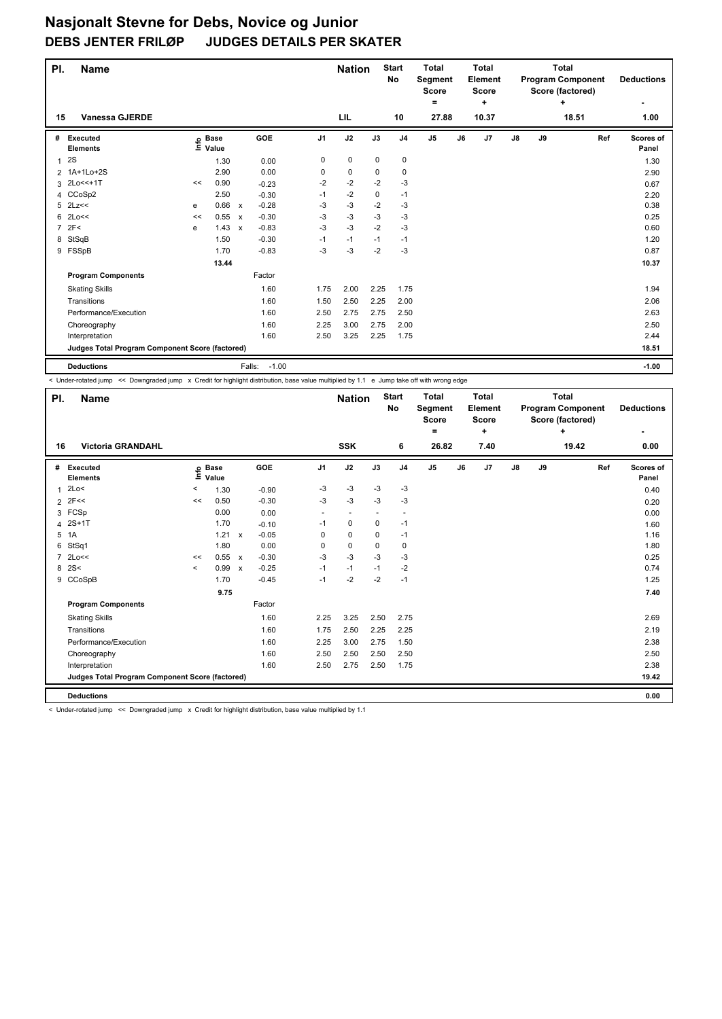| PI.          | <b>Name</b>                                     |    |                            |              |         |                | <b>Nation</b> |      | <b>Start</b><br><b>No</b> | <b>Total</b><br>Segment<br><b>Score</b> |    | <b>Total</b><br>Element<br><b>Score</b> |    |    | <b>Total</b><br><b>Program Component</b><br>Score (factored) | <b>Deductions</b> |
|--------------|-------------------------------------------------|----|----------------------------|--------------|---------|----------------|---------------|------|---------------------------|-----------------------------------------|----|-----------------------------------------|----|----|--------------------------------------------------------------|-------------------|
| 15           | <b>Vanessa GJERDE</b>                           |    |                            |              |         |                | LIL           |      | 10                        | ٠<br>27.88                              |    | ÷<br>10.37                              |    |    | ÷<br>18.51                                                   | 1.00              |
| #            | Executed                                        |    |                            |              | GOE     | J <sub>1</sub> | J2            | J3   | J <sub>4</sub>            | J <sub>5</sub>                          | J6 | J7                                      | J8 | J9 | Ref                                                          | Scores of         |
|              | <b>Elements</b>                                 |    | e Base<br>E Value<br>Value |              |         |                |               |      |                           |                                         |    |                                         |    |    |                                                              | Panel             |
| $\mathbf{1}$ | <b>2S</b>                                       |    | 1.30                       |              | 0.00    | 0              | 0             | 0    | 0                         |                                         |    |                                         |    |    |                                                              | 1.30              |
|              | 2 1A+1Lo+2S                                     |    | 2.90                       |              | 0.00    | 0              | 0             | 0    | 0                         |                                         |    |                                         |    |    |                                                              | 2.90              |
| 3            | 2Lo<<+1T                                        | << | 0.90                       |              | $-0.23$ | $-2$           | $-2$          | $-2$ | $-3$                      |                                         |    |                                         |    |    |                                                              | 0.67              |
|              | 4 CCoSp2                                        |    | 2.50                       |              | $-0.30$ | $-1$           | $-2$          | 0    | $-1$                      |                                         |    |                                         |    |    |                                                              | 2.20              |
|              | 5 2Lz<<                                         | e  | 0.66 x                     |              | $-0.28$ | -3             | $-3$          | $-2$ | -3                        |                                         |    |                                         |    |    |                                                              | 0.38              |
|              | $6$ 2Lo $<<$                                    | << | 0.55 x                     |              | $-0.30$ | $-3$           | $-3$          | $-3$ | $-3$                      |                                         |    |                                         |    |    |                                                              | 0.25              |
|              | 72F<                                            | e  | 1.43                       | $\mathsf{x}$ | $-0.83$ | $-3$           | $-3$          | $-2$ | -3                        |                                         |    |                                         |    |    |                                                              | 0.60              |
|              | 8 StSqB                                         |    | 1.50                       |              | $-0.30$ | $-1$           | $-1$          | $-1$ | $-1$                      |                                         |    |                                         |    |    |                                                              | 1.20              |
|              | 9 FSSpB                                         |    | 1.70                       |              | $-0.83$ | $-3$           | -3            | $-2$ | $-3$                      |                                         |    |                                         |    |    |                                                              | 0.87              |
|              |                                                 |    | 13.44                      |              |         |                |               |      |                           |                                         |    |                                         |    |    |                                                              | 10.37             |
|              | <b>Program Components</b>                       |    |                            |              | Factor  |                |               |      |                           |                                         |    |                                         |    |    |                                                              |                   |
|              | <b>Skating Skills</b>                           |    |                            |              | 1.60    | 1.75           | 2.00          | 2.25 | 1.75                      |                                         |    |                                         |    |    |                                                              | 1.94              |
|              | Transitions                                     |    |                            |              | 1.60    | 1.50           | 2.50          | 2.25 | 2.00                      |                                         |    |                                         |    |    |                                                              | 2.06              |
|              | Performance/Execution                           |    |                            |              | 1.60    | 2.50           | 2.75          | 2.75 | 2.50                      |                                         |    |                                         |    |    |                                                              | 2.63              |
|              | Choreography                                    |    |                            |              | 1.60    | 2.25           | 3.00          | 2.75 | 2.00                      |                                         |    |                                         |    |    |                                                              | 2.50              |
|              | Interpretation                                  |    |                            |              | 1.60    | 2.50           | 3.25          | 2.25 | 1.75                      |                                         |    |                                         |    |    |                                                              | 2.44              |
|              | Judges Total Program Component Score (factored) |    |                            |              |         |                |               |      |                           |                                         |    |                                         |    |    |                                                              | 18.51             |
|              | <b>Deductions</b>                               |    |                            | Falls:       | $-1.00$ |                |               |      |                           |                                         |    |                                         |    |    |                                                              | $-1.00$           |

< Under-rotated jump << Downgraded jump x Credit for highlight distribution, base value multiplied by 1.1 e Jump take off with wrong edge

| PI.            | <b>Name</b>                                          |                          |                            |                                      |                                         | <b>Nation</b>  |                          | <b>Start</b><br>No       | <b>Total</b><br>Segment<br><b>Score</b><br>= |    | <b>Total</b><br>Element<br><b>Score</b><br>÷ | <b>Total</b><br><b>Program Component</b><br>Score (factored)<br>÷ |    |       |     | <b>Deductions</b>  |
|----------------|------------------------------------------------------|--------------------------|----------------------------|--------------------------------------|-----------------------------------------|----------------|--------------------------|--------------------------|----------------------------------------------|----|----------------------------------------------|-------------------------------------------------------------------|----|-------|-----|--------------------|
|                |                                                      |                          |                            |                                      |                                         |                |                          |                          |                                              |    |                                              |                                                                   |    |       |     |                    |
| 16             | <b>Victoria GRANDAHL</b>                             |                          |                            |                                      |                                         | <b>SSK</b>     |                          | 6                        | 26.82                                        |    | 7.40                                         |                                                                   |    | 19.42 |     | 0.00               |
| #              | Executed<br><b>Elements</b>                          |                          | e Base<br>E Value<br>Value | <b>GOE</b>                           | J <sub>1</sub>                          | J2             | J3                       | J <sub>4</sub>           | J <sub>5</sub>                               | J6 | J7                                           | $\mathsf{J}8$                                                     | J9 |       | Ref | Scores of<br>Panel |
| 1              | 2Lo<                                                 | <                        | 1.30                       | $-0.90$                              | -3                                      | -3             | -3                       | $-3$                     |                                              |    |                                              |                                                                   |    |       |     | 0.40               |
|                | $2$ 2F<<                                             | <<                       | 0.50                       | $-0.30$                              | $-3$                                    | $-3$           | $-3$                     | $-3$                     |                                              |    |                                              |                                                                   |    |       |     | 0.20               |
|                | 3 FCSp                                               |                          | 0.00                       | 0.00                                 | ٠                                       | $\overline{a}$ | $\overline{\phantom{a}}$ | $\overline{\phantom{a}}$ |                                              |    |                                              |                                                                   |    |       |     | 0.00               |
| 4              | $2S+1T$                                              |                          | 1.70                       | $-0.10$                              | $-1$                                    | $\mathbf 0$    | $\mathbf 0$              | $-1$                     |                                              |    |                                              |                                                                   |    |       |     | 1.60               |
| 5              | 1A                                                   |                          | 1.21                       | $-0.05$<br>$\boldsymbol{\mathsf{x}}$ | 0                                       | $\mathbf 0$    | 0                        | $-1$                     |                                              |    |                                              |                                                                   |    |       |     | 1.16               |
| 6              | StSq1                                                |                          | 1.80                       | 0.00                                 | 0                                       | $\mathbf 0$    | 0                        | 0                        |                                              |    |                                              |                                                                   |    |       |     | 1.80               |
| $\overline{7}$ | 2Lo<<                                                | <<                       | 0.55 x                     | $-0.30$                              | $-3$                                    | $-3$           | -3                       | -3                       |                                              |    |                                              |                                                                   |    |       |     | 0.25               |
|                | $8 \, 2S <$                                          | $\overline{\phantom{a}}$ | 0.99                       | $-0.25$<br>$\boldsymbol{\mathsf{x}}$ | $-1$                                    | $-1$           | $-1$                     | $-2$                     |                                              |    |                                              |                                                                   |    |       |     | 0.74               |
| 9              | CCoSpB                                               |                          | 1.70                       | $-0.45$                              | $-1$                                    | $-2$           | $-2$                     | $-1$                     |                                              |    |                                              |                                                                   |    |       |     | 1.25               |
|                |                                                      |                          | 9.75                       |                                      |                                         |                |                          |                          |                                              |    |                                              |                                                                   |    |       |     | 7.40               |
|                | <b>Program Components</b>                            |                          |                            | Factor                               |                                         |                |                          |                          |                                              |    |                                              |                                                                   |    |       |     |                    |
|                | <b>Skating Skills</b>                                |                          |                            | 1.60                                 | 2.25                                    | 3.25           | 2.50                     | 2.75                     |                                              |    |                                              |                                                                   |    |       |     | 2.69               |
|                | Transitions                                          |                          |                            | 1.60                                 | 1.75                                    | 2.50           | 2.25                     | 2.25                     |                                              |    |                                              |                                                                   |    |       |     | 2.19               |
|                | Performance/Execution                                |                          |                            | 1.60                                 | 2.25                                    | 3.00           | 2.75                     | 1.50                     |                                              |    |                                              |                                                                   |    |       |     | 2.38               |
|                | Choreography                                         |                          |                            | 1.60                                 | 2.50                                    | 2.50           | 2.50                     | 2.50                     |                                              |    |                                              |                                                                   |    |       |     | 2.50               |
|                | Interpretation                                       |                          |                            | 1.60                                 | 2.50                                    | 2.75           | 2.50                     | 1.75                     |                                              |    |                                              |                                                                   |    |       |     | 2.38               |
|                | Judges Total Program Component Score (factored)      |                          |                            |                                      |                                         |                |                          |                          |                                              |    |                                              |                                                                   |    |       |     | 19.42              |
|                | <b>Deductions</b>                                    |                          |                            |                                      |                                         |                |                          |                          |                                              |    |                                              |                                                                   |    |       |     | 0.00               |
|                | the contract of the contract of the<br>$\sim$ $\sim$ |                          |                            |                                      | a me representative and the morning and |                |                          |                          |                                              |    |                                              |                                                                   |    |       |     |                    |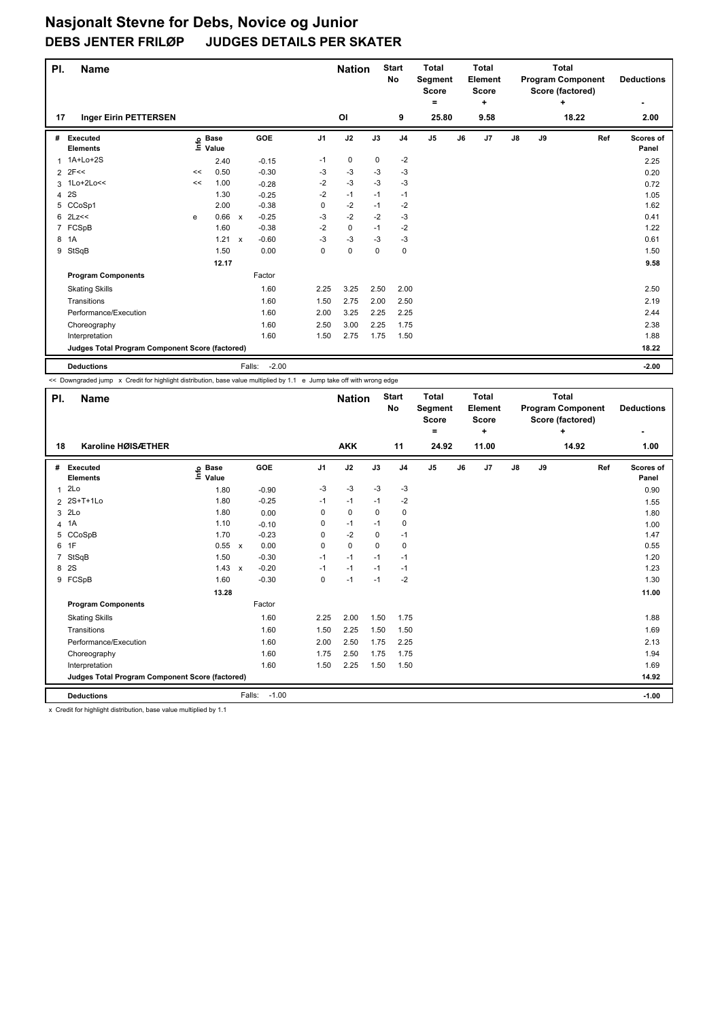| PI. | <b>Name</b>                                     |    |                   |                           |            |                | <b>Nation</b> |      | <b>Start</b><br><b>No</b> | <b>Total</b><br><b>Segment</b><br><b>Score</b> |    | <b>Total</b><br><b>Element</b><br><b>Score</b> |    |    | <b>Total</b><br><b>Program Component</b><br>Score (factored) | <b>Deductions</b>  |
|-----|-------------------------------------------------|----|-------------------|---------------------------|------------|----------------|---------------|------|---------------------------|------------------------------------------------|----|------------------------------------------------|----|----|--------------------------------------------------------------|--------------------|
|     |                                                 |    |                   |                           |            |                |               |      |                           | ۰                                              |    | ÷                                              |    |    | ÷                                                            |                    |
| 17  | <b>Inger Eirin PETTERSEN</b>                    |    |                   |                           |            |                | ΟI            |      | 9                         | 25.80                                          |    | 9.58                                           |    |    | 18.22                                                        | 2.00               |
| #   | Executed<br><b>Elements</b>                     |    | e Base<br>⊑ Value |                           | <b>GOE</b> | J <sub>1</sub> | J2            | J3   | J <sub>4</sub>            | J <sub>5</sub>                                 | J6 | J7                                             | J8 | J9 | Ref                                                          | Scores of<br>Panel |
| 1   | 1A+Lo+2S                                        |    | 2.40              |                           | $-0.15$    | $-1$           | 0             | 0    | $-2$                      |                                                |    |                                                |    |    |                                                              | 2.25               |
|     | $2$ 2F<<                                        | << | 0.50              |                           | $-0.30$    | -3             | -3            | -3   | -3                        |                                                |    |                                                |    |    |                                                              | 0.20               |
| 3   | $1Lo+2Lo<<$                                     | << | 1.00              |                           | $-0.28$    | $-2$           | $-3$          | $-3$ | $-3$                      |                                                |    |                                                |    |    |                                                              | 0.72               |
| 4   | 2S                                              |    | 1.30              |                           | $-0.25$    | $-2$           | $-1$          | $-1$ | $-1$                      |                                                |    |                                                |    |    |                                                              | 1.05               |
| 5   | CCoSp1                                          |    | 2.00              |                           | $-0.38$    | 0              | $-2$          | $-1$ | $-2$                      |                                                |    |                                                |    |    |                                                              | 1.62               |
| 6   | 2Lz<<                                           | e  | 0.66              | $\mathsf{x}$              | $-0.25$    | -3             | $-2$          | $-2$ | $-3$                      |                                                |    |                                                |    |    |                                                              | 0.41               |
| 7   | FCSpB                                           |    | 1.60              |                           | $-0.38$    | $-2$           | 0             | $-1$ | $-2$                      |                                                |    |                                                |    |    |                                                              | 1.22               |
| 8   | 1A                                              |    | 1.21              | $\boldsymbol{\mathsf{x}}$ | $-0.60$    | $-3$           | $-3$          | $-3$ | $-3$                      |                                                |    |                                                |    |    |                                                              | 0.61               |
| 9   | StSqB                                           |    | 1.50              |                           | 0.00       | 0              | $\mathbf 0$   | 0    | 0                         |                                                |    |                                                |    |    |                                                              | 1.50               |
|     |                                                 |    | 12.17             |                           |            |                |               |      |                           |                                                |    |                                                |    |    |                                                              | 9.58               |
|     | <b>Program Components</b>                       |    |                   |                           | Factor     |                |               |      |                           |                                                |    |                                                |    |    |                                                              |                    |
|     | <b>Skating Skills</b>                           |    |                   |                           | 1.60       | 2.25           | 3.25          | 2.50 | 2.00                      |                                                |    |                                                |    |    |                                                              | 2.50               |
|     | Transitions                                     |    |                   |                           | 1.60       | 1.50           | 2.75          | 2.00 | 2.50                      |                                                |    |                                                |    |    |                                                              | 2.19               |
|     | Performance/Execution                           |    |                   |                           | 1.60       | 2.00           | 3.25          | 2.25 | 2.25                      |                                                |    |                                                |    |    |                                                              | 2.44               |
|     | Choreography                                    |    |                   |                           | 1.60       | 2.50           | 3.00          | 2.25 | 1.75                      |                                                |    |                                                |    |    |                                                              | 2.38               |
|     | Interpretation                                  |    |                   |                           | 1.60       | 1.50           | 2.75          | 1.75 | 1.50                      |                                                |    |                                                |    |    |                                                              | 1.88               |
|     | Judges Total Program Component Score (factored) |    |                   |                           |            |                |               |      |                           |                                                |    |                                                |    |    |                                                              | 18.22              |
|     | <b>Deductions</b>                               |    |                   | Falls:                    | $-2.00$    |                |               |      |                           |                                                |    |                                                |    |    |                                                              | $-2.00$            |

<< Downgraded jump x Credit for highlight distribution, base value multiplied by 1.1 e Jump take off with wrong edge

| PI.            | <b>Name</b>                                                         |                   |                         |                |             |      | <b>Start</b><br><b>Nation</b><br><b>No</b> |                   |    | <b>Total</b><br><b>Total</b><br>Segment<br>Element<br><b>Score</b><br><b>Score</b><br>٠ |    | <b>Total</b><br><b>Program Component</b><br>Score (factored)<br>÷ |       |     | <b>Deductions</b>  |
|----------------|---------------------------------------------------------------------|-------------------|-------------------------|----------------|-------------|------|--------------------------------------------|-------------------|----|-----------------------------------------------------------------------------------------|----|-------------------------------------------------------------------|-------|-----|--------------------|
| 18             | Karoline HØISÆTHER                                                  |                   |                         |                | <b>AKK</b>  |      | 11                                         | $\equiv$<br>24.92 |    | 11.00                                                                                   |    |                                                                   | 14.92 |     | 1.00               |
|                |                                                                     |                   |                         |                |             |      |                                            |                   |    |                                                                                         |    |                                                                   |       |     |                    |
| #              | Executed<br><b>Elements</b>                                         | e Base<br>⊑ Value | GOE                     | J <sub>1</sub> | J2          | J3   | J <sub>4</sub>                             | J <sub>5</sub>    | J6 | J7                                                                                      | J8 | J9                                                                |       | Ref | Scores of<br>Panel |
| 1              | 2Lo                                                                 | 1.80              | $-0.90$                 | -3             | $-3$        | $-3$ | $-3$                                       |                   |    |                                                                                         |    |                                                                   |       |     | 0.90               |
|                | 2 2S+T+1Lo                                                          | 1.80              | $-0.25$                 | $-1$           | $-1$        | $-1$ | $-2$                                       |                   |    |                                                                                         |    |                                                                   |       |     | 1.55               |
| 3              | 2Lo                                                                 | 1.80              | 0.00                    | 0              | 0           | 0    | $\mathbf 0$                                |                   |    |                                                                                         |    |                                                                   |       |     | 1.80               |
| $\overline{4}$ | 1A                                                                  | 1.10              | $-0.10$                 | 0              | $-1$        | $-1$ | 0                                          |                   |    |                                                                                         |    |                                                                   |       |     | 1.00               |
| 5              | CCoSpB                                                              | 1.70              | $-0.23$                 | 0              | $-2$        | 0    | $-1$                                       |                   |    |                                                                                         |    |                                                                   |       |     | 1.47               |
|                | 6 1F                                                                | 0.55              | 0.00<br>$\mathsf{x}$    | 0              | $\mathbf 0$ | 0    | $\mathbf 0$                                |                   |    |                                                                                         |    |                                                                   |       |     | 0.55               |
| 7              | StSqB                                                               | 1.50              | $-0.30$                 | $-1$           | $-1$        | $-1$ | $-1$                                       |                   |    |                                                                                         |    |                                                                   |       |     | 1.20               |
| 8              | 2S                                                                  | 1.43              | $-0.20$<br>$\mathsf{x}$ | $-1$           | $-1$        | $-1$ | $-1$                                       |                   |    |                                                                                         |    |                                                                   |       |     | 1.23               |
| 9              | FCSpB                                                               | 1.60              | $-0.30$                 | 0              | $-1$        | $-1$ | $-2$                                       |                   |    |                                                                                         |    |                                                                   |       |     | 1.30               |
|                |                                                                     | 13.28             |                         |                |             |      |                                            |                   |    |                                                                                         |    |                                                                   |       |     | 11.00              |
|                | <b>Program Components</b>                                           |                   | Factor                  |                |             |      |                                            |                   |    |                                                                                         |    |                                                                   |       |     |                    |
|                | <b>Skating Skills</b>                                               |                   |                         | 1.60<br>2.25   | 2.00        | 1.50 | 1.75                                       |                   |    |                                                                                         |    |                                                                   |       |     | 1.88               |
|                | Transitions                                                         |                   | 1.60                    | 1.50           | 2.25        | 1.50 | 1.50                                       |                   |    |                                                                                         |    |                                                                   |       |     | 1.69               |
|                | Performance/Execution                                               |                   | 1.60                    | 2.00           | 2.50        | 1.75 | 2.25                                       |                   |    |                                                                                         |    |                                                                   |       |     | 2.13               |
|                | Choreography                                                        |                   | 1.60                    | 1.75           | 2.50        | 1.75 | 1.75                                       |                   |    |                                                                                         |    |                                                                   |       |     | 1.94               |
|                | Interpretation                                                      |                   | 1.60                    | 1.50           | 2.25        | 1.50 | 1.50                                       |                   |    |                                                                                         |    |                                                                   |       |     | 1.69               |
|                | Judges Total Program Component Score (factored)                     |                   |                         |                |             |      |                                            |                   |    |                                                                                         |    |                                                                   |       |     | 14.92              |
|                | <b>Deductions</b>                                                   |                   | Falls:                  | $-1.00$        |             |      |                                            |                   |    |                                                                                         |    |                                                                   |       |     | $-1.00$            |
|                | v. Credit for bighlight distribution, base value multiplied by 1.1. |                   |                         |                |             |      |                                            |                   |    |                                                                                         |    |                                                                   |       |     |                    |

x Credit for highlight distribution, base value multiplied by 1.1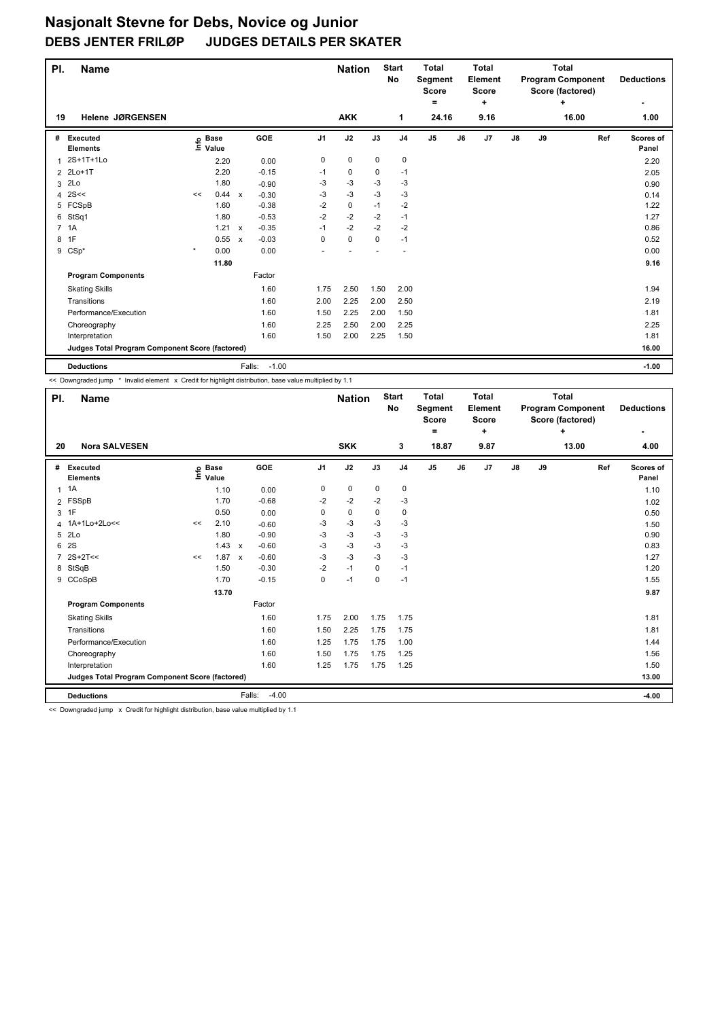| PI. | <b>Name</b>                                     |         |                            |              |                   |                | <b>Nation</b> |             | <b>Start</b><br>No | <b>Total</b><br><b>Segment</b><br><b>Score</b> |    | <b>Total</b><br>Element<br><b>Score</b> |    |    | <b>Total</b><br><b>Program Component</b><br>Score (factored) | <b>Deductions</b>  |
|-----|-------------------------------------------------|---------|----------------------------|--------------|-------------------|----------------|---------------|-------------|--------------------|------------------------------------------------|----|-----------------------------------------|----|----|--------------------------------------------------------------|--------------------|
|     |                                                 |         |                            |              |                   |                |               |             |                    | ۰                                              |    | ٠                                       |    |    | ÷                                                            |                    |
| 19  | <b>Helene JØRGENSEN</b>                         |         |                            |              |                   |                | <b>AKK</b>    |             | 1                  | 24.16                                          |    | 9.16                                    |    |    | 16.00                                                        | 1.00               |
| #   | Executed<br><b>Elements</b>                     |         | e Base<br>E Value<br>Value |              | GOE               | J <sub>1</sub> | J2            | J3          | J <sub>4</sub>     | J <sub>5</sub>                                 | J6 | J7                                      | J8 | J9 | Ref                                                          | Scores of<br>Panel |
| 1   | 2S+1T+1Lo                                       |         | 2.20                       |              | 0.00              | 0              | 0             | 0           | 0                  |                                                |    |                                         |    |    |                                                              | 2.20               |
|     | 2 2Lo+1T                                        |         | 2.20                       |              | $-0.15$           | $-1$           | 0             | 0           | $-1$               |                                                |    |                                         |    |    |                                                              | 2.05               |
| 3   | 2Lo                                             |         | 1.80                       |              | $-0.90$           | -3             | -3            | -3          | $-3$               |                                                |    |                                         |    |    |                                                              | 0.90               |
|     | 4 $2S <$                                        | <<      | 0.44                       | $\mathsf{x}$ | $-0.30$           | -3             | $-3$          | $-3$        | $-3$               |                                                |    |                                         |    |    |                                                              | 0.14               |
|     | 5 FCSpB                                         |         | 1.60                       |              | $-0.38$           | $-2$           | 0             | $-1$        | $-2$               |                                                |    |                                         |    |    |                                                              | 1.22               |
| 6   | StSq1                                           |         | 1.80                       |              | $-0.53$           | $-2$           | $-2$          | $-2$        | $-1$               |                                                |    |                                         |    |    |                                                              | 1.27               |
|     | 7 1A                                            |         | 1.21                       | $\mathsf{x}$ | $-0.35$           | $-1$           | $-2$          | $-2$        | $-2$               |                                                |    |                                         |    |    |                                                              | 0.86               |
|     | 8 1F                                            |         | 0.55 x                     |              | $-0.03$           | 0              | $\mathbf 0$   | $\mathbf 0$ | $-1$               |                                                |    |                                         |    |    |                                                              | 0.52               |
| 9   | $CSp^*$                                         | $\star$ | 0.00                       |              | 0.00              |                |               |             |                    |                                                |    |                                         |    |    |                                                              | 0.00               |
|     |                                                 |         | 11.80                      |              |                   |                |               |             |                    |                                                |    |                                         |    |    |                                                              | 9.16               |
|     | <b>Program Components</b>                       |         |                            |              | Factor            |                |               |             |                    |                                                |    |                                         |    |    |                                                              |                    |
|     | <b>Skating Skills</b>                           |         |                            |              | 1.60              | 1.75           | 2.50          | 1.50        | 2.00               |                                                |    |                                         |    |    |                                                              | 1.94               |
|     | Transitions                                     |         |                            |              | 1.60              | 2.00           | 2.25          | 2.00        | 2.50               |                                                |    |                                         |    |    |                                                              | 2.19               |
|     | Performance/Execution                           |         |                            |              | 1.60              | 1.50           | 2.25          | 2.00        | 1.50               |                                                |    |                                         |    |    |                                                              | 1.81               |
|     | Choreography                                    |         |                            |              | 1.60              | 2.25           | 2.50          | 2.00        | 2.25               |                                                |    |                                         |    |    |                                                              | 2.25               |
|     | Interpretation                                  |         |                            |              | 1.60              | 1.50           | 2.00          | 2.25        | 1.50               |                                                |    |                                         |    |    |                                                              | 1.81               |
|     | Judges Total Program Component Score (factored) |         |                            |              |                   |                |               |             |                    |                                                |    |                                         |    |    |                                                              | 16.00              |
|     | <b>Deductions</b>                               |         |                            |              | Falls:<br>$-1.00$ |                |               |             |                    |                                                |    |                                         |    |    |                                                              | $-1.00$            |

<< Downgraded jump \* Invalid element x Credit for highlight distribution, base value multiplied by 1.1

| PI.            | <b>Name</b>                                                                            |    |                            |                         |      | <b>Nation</b> |      | <b>Start</b><br><b>No</b> | <b>Total</b><br>Segment<br><b>Score</b><br>$=$ |    | <b>Total</b><br>Element<br>Score<br>÷ |               |    | <b>Total</b><br><b>Program Component</b><br>Score (factored)<br>÷ |     | <b>Deductions</b>  |
|----------------|----------------------------------------------------------------------------------------|----|----------------------------|-------------------------|------|---------------|------|---------------------------|------------------------------------------------|----|---------------------------------------|---------------|----|-------------------------------------------------------------------|-----|--------------------|
| 20             | <b>Nora SALVESEN</b>                                                                   |    |                            |                         |      | <b>SKK</b>    |      | 3                         | 18.87                                          |    | 9.87                                  |               |    | 13.00                                                             |     | 4.00               |
| #              | Executed<br><b>Elements</b>                                                            |    | e Base<br>E Value<br>Value | GOE                     | J1   | J2            | J3   | J <sub>4</sub>            | J5                                             | J6 | J7                                    | $\mathsf{J}8$ | J9 |                                                                   | Ref | Scores of<br>Panel |
| $\mathbf{1}$   | 1A                                                                                     |    | 1.10                       | 0.00                    | 0    | 0             | 0    | 0                         |                                                |    |                                       |               |    |                                                                   |     | 1.10               |
|                | 2 FSSpB                                                                                |    | 1.70                       | $-0.68$                 | $-2$ | $-2$          | $-2$ | $-3$                      |                                                |    |                                       |               |    |                                                                   |     | 1.02               |
|                | 3 1F                                                                                   |    | 0.50                       | 0.00                    | 0    | 0             | 0    | $\mathbf 0$               |                                                |    |                                       |               |    |                                                                   |     | 0.50               |
| 4              | 1A+1Lo+2Lo<<                                                                           | << | 2.10                       | $-0.60$                 | -3   | -3            | -3   | -3                        |                                                |    |                                       |               |    |                                                                   |     | 1.50               |
| 5              | 2Lo                                                                                    |    | 1.80                       | $-0.90$                 | $-3$ | $-3$          | $-3$ | $-3$                      |                                                |    |                                       |               |    |                                                                   |     | 0.90               |
| 6              | 2S                                                                                     |    | 1.43                       | $-0.60$<br>$\mathbf{x}$ | $-3$ | $-3$          | $-3$ | $-3$                      |                                                |    |                                       |               |    |                                                                   |     | 0.83               |
| $\overline{7}$ | $2S+2T<<$                                                                              | << | $1.87 \times$              | $-0.60$                 | -3   | -3            | -3   | -3                        |                                                |    |                                       |               |    |                                                                   |     | 1.27               |
| 8              | StSqB                                                                                  |    | 1.50                       | $-0.30$                 | $-2$ | $-1$          | 0    | $-1$                      |                                                |    |                                       |               |    |                                                                   |     | 1.20               |
|                | 9 CCoSpB                                                                               |    | 1.70                       | $-0.15$                 | 0    | $-1$          | 0    | -1                        |                                                |    |                                       |               |    |                                                                   |     | 1.55               |
|                |                                                                                        |    | 13.70                      |                         |      |               |      |                           |                                                |    |                                       |               |    |                                                                   |     | 9.87               |
|                | <b>Program Components</b>                                                              |    |                            | Factor                  |      |               |      |                           |                                                |    |                                       |               |    |                                                                   |     |                    |
|                | <b>Skating Skills</b>                                                                  |    |                            | 1.60                    | 1.75 | 2.00          | 1.75 | 1.75                      |                                                |    |                                       |               |    |                                                                   |     | 1.81               |
|                | Transitions                                                                            |    |                            | 1.60                    | 1.50 | 2.25          | 1.75 | 1.75                      |                                                |    |                                       |               |    |                                                                   |     | 1.81               |
|                | Performance/Execution                                                                  |    |                            | 1.60                    | 1.25 | 1.75          | 1.75 | 1.00                      |                                                |    |                                       |               |    |                                                                   |     | 1.44               |
|                | Choreography                                                                           |    |                            | 1.60                    | 1.50 | 1.75          | 1.75 | 1.25                      |                                                |    |                                       |               |    |                                                                   |     | 1.56               |
|                | Interpretation                                                                         |    |                            | 1.60                    | 1.25 | 1.75          | 1.75 | 1.25                      |                                                |    |                                       |               |    |                                                                   |     | 1.50               |
|                | Judges Total Program Component Score (factored)                                        |    |                            |                         |      |               |      |                           |                                                |    |                                       |               |    |                                                                   |     | 13.00              |
|                | <b>Deductions</b>                                                                      |    |                            | Falls:<br>$-4.00$       |      |               |      |                           |                                                |    |                                       |               |    |                                                                   |     | $-4.00$            |
|                | cc. Downgraded jump v. Credit for bigblight distribution, base value multiplied by 1.1 |    |                            |                         |      |               |      |                           |                                                |    |                                       |               |    |                                                                   |     |                    |

Downgraded jump x Credit for highlight distribution, base value multiplied by 1.1